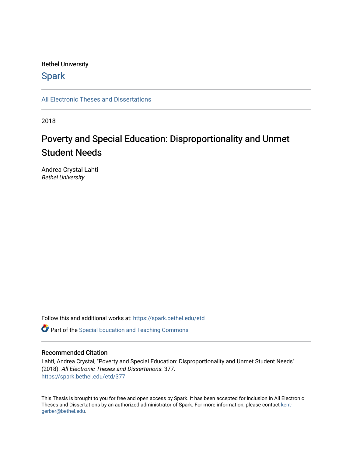### Bethel University

# **Spark**

[All Electronic Theses and Dissertations](https://spark.bethel.edu/etd) 

2018

# Poverty and Special Education: Disproportionality and Unmet Student Needs

Andrea Crystal Lahti Bethel University

Follow this and additional works at: [https://spark.bethel.edu/etd](https://spark.bethel.edu/etd?utm_source=spark.bethel.edu%2Fetd%2F377&utm_medium=PDF&utm_campaign=PDFCoverPages)

**C** Part of the Special Education and Teaching Commons

### Recommended Citation

Lahti, Andrea Crystal, "Poverty and Special Education: Disproportionality and Unmet Student Needs" (2018). All Electronic Theses and Dissertations. 377. [https://spark.bethel.edu/etd/377](https://spark.bethel.edu/etd/377?utm_source=spark.bethel.edu%2Fetd%2F377&utm_medium=PDF&utm_campaign=PDFCoverPages)

This Thesis is brought to you for free and open access by Spark. It has been accepted for inclusion in All Electronic Theses and Dissertations by an authorized administrator of Spark. For more information, please contact [kent](mailto:kent-gerber@bethel.edu)[gerber@bethel.edu.](mailto:kent-gerber@bethel.edu)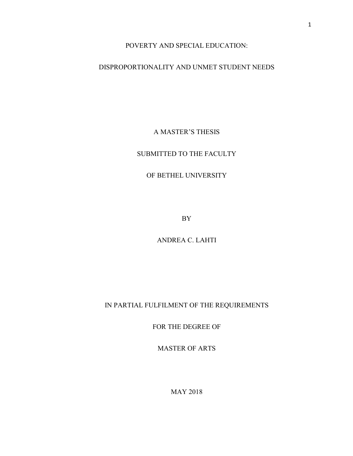### POVERTY AND SPECIAL EDUCATION:

## DISPROPORTIONALITY AND UNMET STUDENT NEEDS

A MASTER'S THESIS

### SUBMITTED TO THE FACULTY

### OF BETHEL UNIVERSITY

BY

ANDREA C. LAHTI

# IN PARTIAL FULFILMENT OF THE REQUIREMENTS

FOR THE DEGREE OF

MASTER OF ARTS

MAY 2018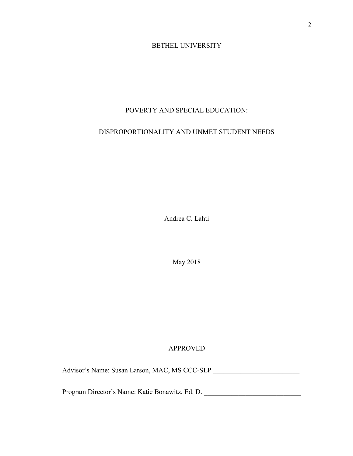### BETHEL UNIVERSITY

### POVERTY AND SPECIAL EDUCATION:

# DISPROPORTIONALITY AND UNMET STUDENT NEEDS

Andrea C. Lahti

May 2018

### APPROVED

Advisor's Name: Susan Larson, MAC, MS CCC-SLP \_\_\_\_\_\_\_\_\_\_\_\_\_\_\_\_\_\_\_\_\_\_\_\_\_\_\_\_\_\_\_\_\_\_

Program Director's Name: Katie Bonawitz, Ed. D.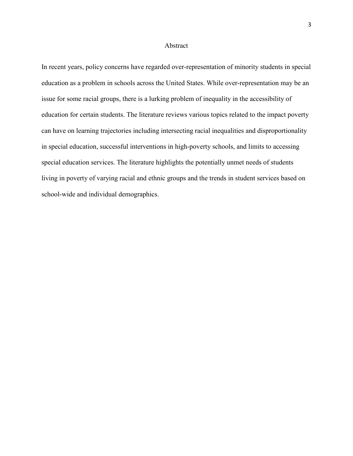#### Abstract

In recent years, policy concerns have regarded over-representation of minority students in special education as a problem in schools across the United States. While over-representation may be an issue for some racial groups, there is a lurking problem of inequality in the accessibility of education for certain students. The literature reviews various topics related to the impact poverty can have on learning trajectories including intersecting racial inequalities and disproportionality in special education, successful interventions in high-poverty schools, and limits to accessing special education services. The literature highlights the potentially unmet needs of students living in poverty of varying racial and ethnic groups and the trends in student services based on school-wide and individual demographics.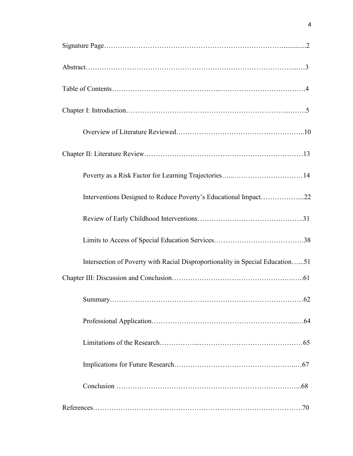| Interventions Designed to Reduce Poverty's Educational Impact22               |
|-------------------------------------------------------------------------------|
|                                                                               |
|                                                                               |
| Intersection of Poverty with Racial Disproportionality in Special Education51 |
|                                                                               |
|                                                                               |
|                                                                               |
|                                                                               |
|                                                                               |
|                                                                               |
|                                                                               |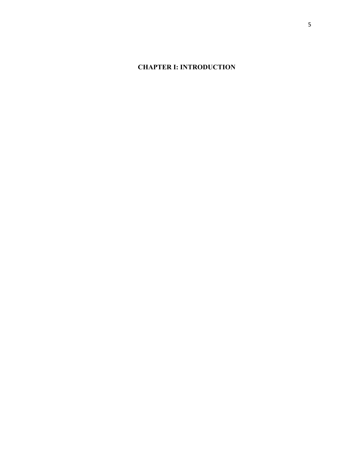# **CHAPTER I: INTRODUCTION**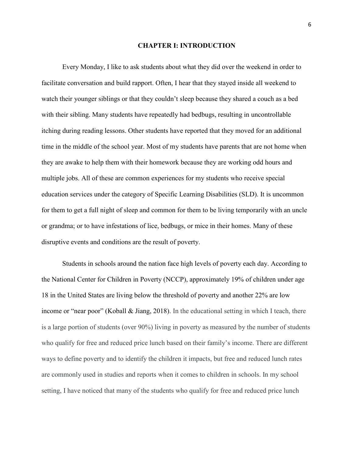#### **CHAPTER I: INTRODUCTION**

Every Monday, I like to ask students about what they did over the weekend in order to facilitate conversation and build rapport. Often, I hear that they stayed inside all weekend to watch their younger siblings or that they couldn't sleep because they shared a couch as a bed with their sibling. Many students have repeatedly had bedbugs, resulting in uncontrollable itching during reading lessons. Other students have reported that they moved for an additional time in the middle of the school year. Most of my students have parents that are not home when they are awake to help them with their homework because they are working odd hours and multiple jobs. All of these are common experiences for my students who receive special education services under the category of Specific Learning Disabilities (SLD). It is uncommon for them to get a full night of sleep and common for them to be living temporarily with an uncle or grandma; or to have infestations of lice, bedbugs, or mice in their homes. Many of these disruptive events and conditions are the result of poverty.

Students in schools around the nation face high levels of poverty each day. According to the National Center for Children in Poverty (NCCP), approximately 19% of children under age 18 in the United States are living below the threshold of poverty and another 22% are low income or "near poor" (Koball & Jiang, 2018). In the educational setting in which I teach, there is a large portion of students (over 90%) living in poverty as measured by the number of students who qualify for free and reduced price lunch based on their family's income. There are different ways to define poverty and to identify the children it impacts, but free and reduced lunch rates are commonly used in studies and reports when it comes to children in schools. In my school setting, I have noticed that many of the students who qualify for free and reduced price lunch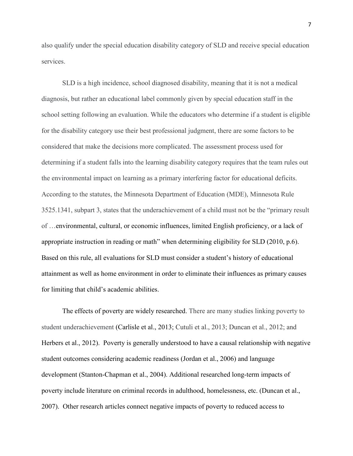also qualify under the special education disability category of SLD and receive special education services.

SLD is a high incidence, school diagnosed disability, meaning that it is not a medical diagnosis, but rather an educational label commonly given by special education staff in the school setting following an evaluation. While the educators who determine if a student is eligible for the disability category use their best professional judgment, there are some factors to be considered that make the decisions more complicated. The assessment process used for determining if a student falls into the learning disability category requires that the team rules out the environmental impact on learning as a primary interfering factor for educational deficits. According to the statutes, the Minnesota Department of Education (MDE), Minnesota Rule 3525.1341, subpart 3, states that the underachievement of a child must not be the "primary result of …environmental, cultural, or economic influences, limited English proficiency, or a lack of appropriate instruction in reading or math" when determining eligibility for SLD (2010, p.6). Based on this rule, all evaluations for SLD must consider a student's history of educational attainment as well as home environment in order to eliminate their influences as primary causes for limiting that child's academic abilities.

The effects of poverty are widely researched. There are many studies linking poverty to student underachievement (Carlisle et al., 2013; Cutuli et al., 2013; Duncan et al., 2012; and Herbers et al., 2012). Poverty is generally understood to have a causal relationship with negative student outcomes considering academic readiness (Jordan et al., 2006) and language development (Stanton-Chapman et al., 2004). Additional researched long-term impacts of poverty include literature on criminal records in adulthood, homelessness, etc. (Duncan et al., 2007). Other research articles connect negative impacts of poverty to reduced access to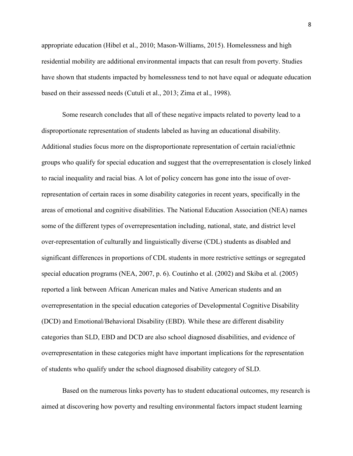appropriate education (Hibel et al., 2010; Mason-Williams, 2015). Homelessness and high residential mobility are additional environmental impacts that can result from poverty. Studies have shown that students impacted by homelessness tend to not have equal or adequate education based on their assessed needs (Cutuli et al., 2013; Zima et al., 1998).

Some research concludes that all of these negative impacts related to poverty lead to a disproportionate representation of students labeled as having an educational disability. Additional studies focus more on the disproportionate representation of certain racial/ethnic groups who qualify for special education and suggest that the overrepresentation is closely linked to racial inequality and racial bias. A lot of policy concern has gone into the issue of overrepresentation of certain races in some disability categories in recent years, specifically in the areas of emotional and cognitive disabilities. The National Education Association (NEA) names some of the different types of overrepresentation including, national, state, and district level over-representation of culturally and linguistically diverse (CDL) students as disabled and significant differences in proportions of CDL students in more restrictive settings or segregated special education programs (NEA, 2007, p. 6). Coutinho et al. (2002) and Skiba et al. (2005) reported a link between African American males and Native American students and an overrepresentation in the special education categories of Developmental Cognitive Disability (DCD) and Emotional/Behavioral Disability (EBD). While these are different disability categories than SLD, EBD and DCD are also school diagnosed disabilities, and evidence of overrepresentation in these categories might have important implications for the representation of students who qualify under the school diagnosed disability category of SLD.

Based on the numerous links poverty has to student educational outcomes, my research is aimed at discovering how poverty and resulting environmental factors impact student learning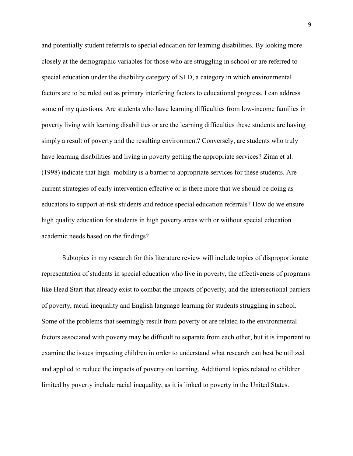and potentially student referrals to special education for learning disabilities. By looking more closely at the demographic variables for those who are struggling in school or are referred to special education under the disability category of SLD, a category in which environmental factors are to be ruled out as primary interfering factors to educational progress, I can address some of my questions. Are students who have learning difficulties from low-income families in poverty living with learning disabilities or are the learning difficulties these students are having simply a result of poverty and the resulting environment? Conversely, are students who truly have learning disabilities and living in poverty getting the appropriate services? Zima et al. (1998) indicate that high- mobility is a barrier to appropriate services for these students. Are current strategies of early intervention effective or is there more that we should be doing as educators to support at-risk students and reduce special education referrals? How do we ensure high quality education for students in high poverty areas with or without special education academic needs based on the findings?

 Subtopics in my research for this literature review will include topics of disproportionate representation of students in special education who live in poverty, the effectiveness of programs like Head Start that already exist to combat the impacts of poverty, and the intersectional barriers of poverty, racial inequality and English language learning for students struggling in school. Some of the problems that seemingly result from poverty or are related to the environmental factors associated with poverty may be difficult to separate from each other, but it is important to examine the issues impacting children in order to understand what research can best be utilized and applied to reduce the impacts of poverty on learning. Additional topics related to children limited by poverty include racial inequality, as it is linked to poverty in the United States.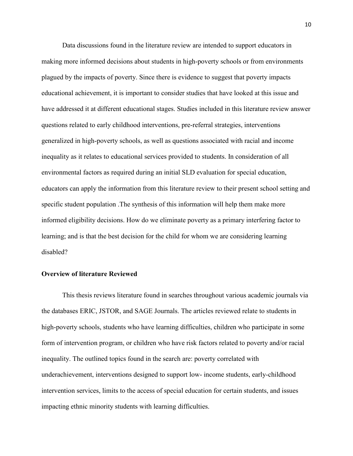Data discussions found in the literature review are intended to support educators in making more informed decisions about students in high-poverty schools or from environments plagued by the impacts of poverty. Since there is evidence to suggest that poverty impacts educational achievement, it is important to consider studies that have looked at this issue and have addressed it at different educational stages. Studies included in this literature review answer questions related to early childhood interventions, pre-referral strategies, interventions generalized in high-poverty schools, as well as questions associated with racial and income inequality as it relates to educational services provided to students. In consideration of all environmental factors as required during an initial SLD evaluation for special education, educators can apply the information from this literature review to their present school setting and specific student population .The synthesis of this information will help them make more informed eligibility decisions. How do we eliminate poverty as a primary interfering factor to learning; and is that the best decision for the child for whom we are considering learning disabled?

### **Overview of literature Reviewed**

This thesis reviews literature found in searches throughout various academic journals via the databases ERIC, JSTOR, and SAGE Journals. The articles reviewed relate to students in high-poverty schools, students who have learning difficulties, children who participate in some form of intervention program, or children who have risk factors related to poverty and/or racial inequality. The outlined topics found in the search are: poverty correlated with underachievement, interventions designed to support low- income students, early-childhood intervention services, limits to the access of special education for certain students, and issues impacting ethnic minority students with learning difficulties.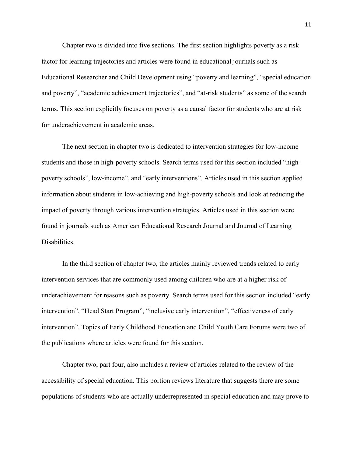Chapter two is divided into five sections. The first section highlights poverty as a risk factor for learning trajectories and articles were found in educational journals such as Educational Researcher and Child Development using "poverty and learning", "special education and poverty", "academic achievement trajectories", and "at-risk students" as some of the search terms. This section explicitly focuses on poverty as a causal factor for students who are at risk for underachievement in academic areas.

The next section in chapter two is dedicated to intervention strategies for low-income students and those in high-poverty schools. Search terms used for this section included "highpoverty schools", low-income", and "early interventions". Articles used in this section applied information about students in low-achieving and high-poverty schools and look at reducing the impact of poverty through various intervention strategies. Articles used in this section were found in journals such as American Educational Research Journal and Journal of Learning Disabilities.

In the third section of chapter two, the articles mainly reviewed trends related to early intervention services that are commonly used among children who are at a higher risk of underachievement for reasons such as poverty. Search terms used for this section included "early intervention", "Head Start Program", "inclusive early intervention", "effectiveness of early intervention". Topics of Early Childhood Education and Child Youth Care Forums were two of the publications where articles were found for this section.

Chapter two, part four, also includes a review of articles related to the review of the accessibility of special education. This portion reviews literature that suggests there are some populations of students who are actually underrepresented in special education and may prove to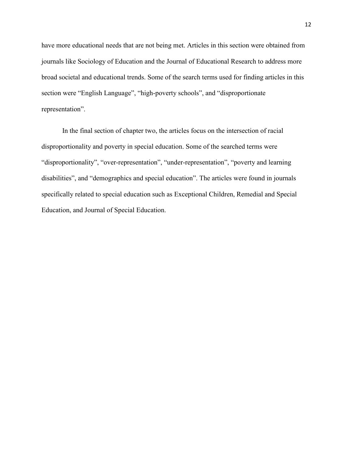have more educational needs that are not being met. Articles in this section were obtained from journals like Sociology of Education and the Journal of Educational Research to address more broad societal and educational trends. Some of the search terms used for finding articles in this section were "English Language", "high-poverty schools", and "disproportionate representation".

In the final section of chapter two, the articles focus on the intersection of racial disproportionality and poverty in special education. Some of the searched terms were "disproportionality", "over-representation", "under-representation", "poverty and learning disabilities", and "demographics and special education". The articles were found in journals specifically related to special education such as Exceptional Children, Remedial and Special Education, and Journal of Special Education.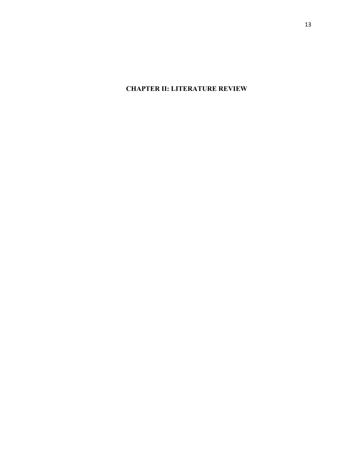**CHAPTER II: LITERATURE REVIEW**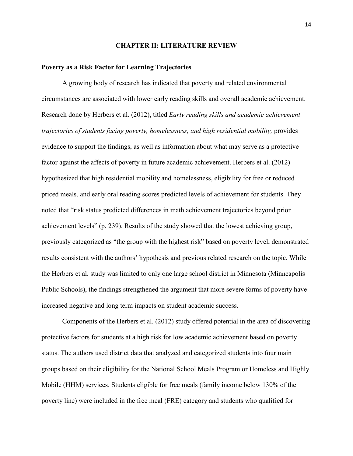#### **CHAPTER II: LITERATURE REVIEW**

#### **Poverty as a Risk Factor for Learning Trajectories**

A growing body of research has indicated that poverty and related environmental circumstances are associated with lower early reading skills and overall academic achievement. Research done by Herbers et al. (2012), titled *Early reading skills and academic achievement trajectories of students facing poverty, homelessness, and high residential mobility,* provides evidence to support the findings, as well as information about what may serve as a protective factor against the affects of poverty in future academic achievement. Herbers et al. (2012) hypothesized that high residential mobility and homelessness, eligibility for free or reduced priced meals, and early oral reading scores predicted levels of achievement for students. They noted that "risk status predicted differences in math achievement trajectories beyond prior achievement levels" (p. 239). Results of the study showed that the lowest achieving group, previously categorized as "the group with the highest risk" based on poverty level, demonstrated results consistent with the authors' hypothesis and previous related research on the topic. While the Herbers et al. study was limited to only one large school district in Minnesota (Minneapolis Public Schools), the findings strengthened the argument that more severe forms of poverty have increased negative and long term impacts on student academic success.

Components of the Herbers et al. (2012) study offered potential in the area of discovering protective factors for students at a high risk for low academic achievement based on poverty status. The authors used district data that analyzed and categorized students into four main groups based on their eligibility for the National School Meals Program or Homeless and Highly Mobile (HHM) services. Students eligible for free meals (family income below 130% of the poverty line) were included in the free meal (FRE) category and students who qualified for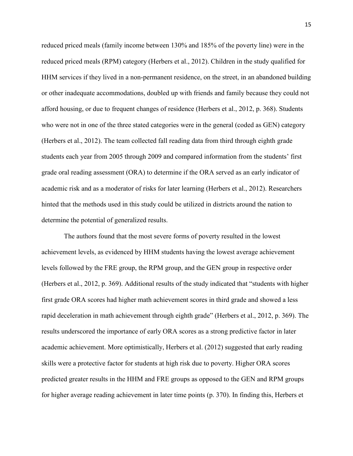reduced priced meals (family income between 130% and 185% of the poverty line) were in the reduced priced meals (RPM) category (Herbers et al., 2012). Children in the study qualified for HHM services if they lived in a non-permanent residence, on the street, in an abandoned building or other inadequate accommodations, doubled up with friends and family because they could not afford housing, or due to frequent changes of residence (Herbers et al., 2012, p. 368). Students who were not in one of the three stated categories were in the general (coded as GEN) category (Herbers et al., 2012). The team collected fall reading data from third through eighth grade students each year from 2005 through 2009 and compared information from the students' first grade oral reading assessment (ORA) to determine if the ORA served as an early indicator of academic risk and as a moderator of risks for later learning (Herbers et al., 2012). Researchers hinted that the methods used in this study could be utilized in districts around the nation to determine the potential of generalized results.

 The authors found that the most severe forms of poverty resulted in the lowest achievement levels, as evidenced by HHM students having the lowest average achievement levels followed by the FRE group, the RPM group, and the GEN group in respective order (Herbers et al., 2012, p. 369). Additional results of the study indicated that "students with higher first grade ORA scores had higher math achievement scores in third grade and showed a less rapid deceleration in math achievement through eighth grade" (Herbers et al., 2012, p. 369). The results underscored the importance of early ORA scores as a strong predictive factor in later academic achievement. More optimistically, Herbers et al. (2012) suggested that early reading skills were a protective factor for students at high risk due to poverty. Higher ORA scores predicted greater results in the HHM and FRE groups as opposed to the GEN and RPM groups for higher average reading achievement in later time points (p. 370). In finding this, Herbers et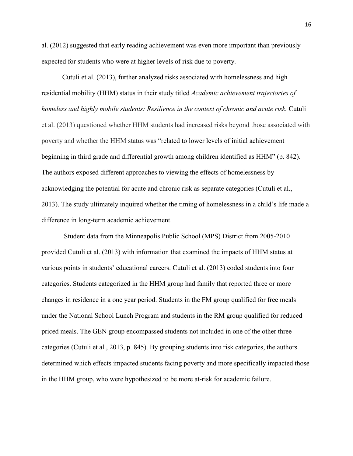al. (2012) suggested that early reading achievement was even more important than previously expected for students who were at higher levels of risk due to poverty.

Cutuli et al. (2013), further analyzed risks associated with homelessness and high residential mobility (HHM) status in their study titled *Academic achievement trajectories of homeless and highly mobile students: Resilience in the context of chronic and acute risk.* Cutuli et al. (2013) questioned whether HHM students had increased risks beyond those associated with poverty and whether the HHM status was "related to lower levels of initial achievement beginning in third grade and differential growth among children identified as HHM" (p. 842). The authors exposed different approaches to viewing the effects of homelessness by acknowledging the potential for acute and chronic risk as separate categories (Cutuli et al., 2013). The study ultimately inquired whether the timing of homelessness in a child's life made a difference in long-term academic achievement.

Student data from the Minneapolis Public School (MPS) District from 2005-2010 provided Cutuli et al. (2013) with information that examined the impacts of HHM status at various points in students' educational careers. Cutuli et al. (2013) coded students into four categories. Students categorized in the HHM group had family that reported three or more changes in residence in a one year period. Students in the FM group qualified for free meals under the National School Lunch Program and students in the RM group qualified for reduced priced meals. The GEN group encompassed students not included in one of the other three categories (Cutuli et al., 2013, p. 845). By grouping students into risk categories, the authors determined which effects impacted students facing poverty and more specifically impacted those in the HHM group, who were hypothesized to be more at-risk for academic failure.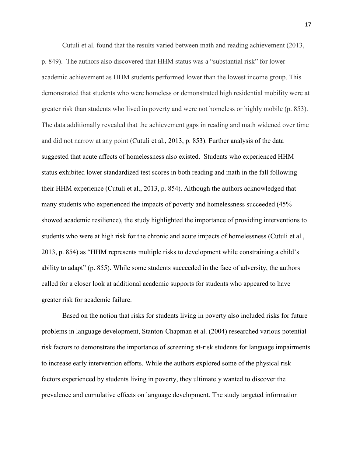Cutuli et al. found that the results varied between math and reading achievement (2013, p. 849). The authors also discovered that HHM status was a "substantial risk" for lower academic achievement as HHM students performed lower than the lowest income group. This demonstrated that students who were homeless or demonstrated high residential mobility were at greater risk than students who lived in poverty and were not homeless or highly mobile (p. 853). The data additionally revealed that the achievement gaps in reading and math widened over time and did not narrow at any point (Cutuli et al., 2013, p. 853). Further analysis of the data suggested that acute affects of homelessness also existed. Students who experienced HHM status exhibited lower standardized test scores in both reading and math in the fall following their HHM experience (Cutuli et al., 2013, p. 854). Although the authors acknowledged that many students who experienced the impacts of poverty and homelessness succeeded (45% showed academic resilience), the study highlighted the importance of providing interventions to students who were at high risk for the chronic and acute impacts of homelessness (Cutuli et al., 2013, p. 854) as "HHM represents multiple risks to development while constraining a child's ability to adapt" (p. 855). While some students succeeded in the face of adversity, the authors called for a closer look at additional academic supports for students who appeared to have greater risk for academic failure.

Based on the notion that risks for students living in poverty also included risks for future problems in language development, Stanton-Chapman et al. (2004) researched various potential risk factors to demonstrate the importance of screening at-risk students for language impairments to increase early intervention efforts. While the authors explored some of the physical risk factors experienced by students living in poverty, they ultimately wanted to discover the prevalence and cumulative effects on language development. The study targeted information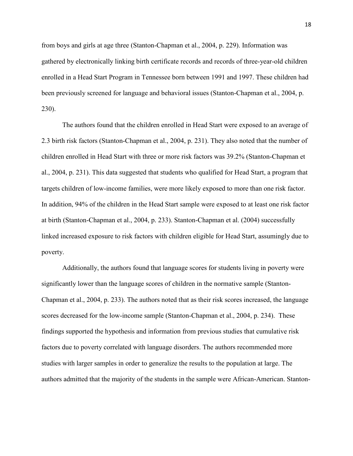from boys and girls at age three (Stanton-Chapman et al., 2004, p. 229). Information was gathered by electronically linking birth certificate records and records of three-year-old children enrolled in a Head Start Program in Tennessee born between 1991 and 1997. These children had been previously screened for language and behavioral issues (Stanton-Chapman et al., 2004, p. 230).

The authors found that the children enrolled in Head Start were exposed to an average of 2.3 birth risk factors (Stanton-Chapman et al., 2004, p. 231). They also noted that the number of children enrolled in Head Start with three or more risk factors was 39.2% (Stanton-Chapman et al., 2004, p. 231). This data suggested that students who qualified for Head Start, a program that targets children of low-income families, were more likely exposed to more than one risk factor. In addition, 94% of the children in the Head Start sample were exposed to at least one risk factor at birth (Stanton-Chapman et al., 2004, p. 233). Stanton-Chapman et al. (2004) successfully linked increased exposure to risk factors with children eligible for Head Start, assumingly due to poverty.

Additionally, the authors found that language scores for students living in poverty were significantly lower than the language scores of children in the normative sample (Stanton-Chapman et al., 2004, p. 233). The authors noted that as their risk scores increased, the language scores decreased for the low-income sample (Stanton-Chapman et al., 2004, p. 234). These findings supported the hypothesis and information from previous studies that cumulative risk factors due to poverty correlated with language disorders. The authors recommended more studies with larger samples in order to generalize the results to the population at large. The authors admitted that the majority of the students in the sample were African-American. Stanton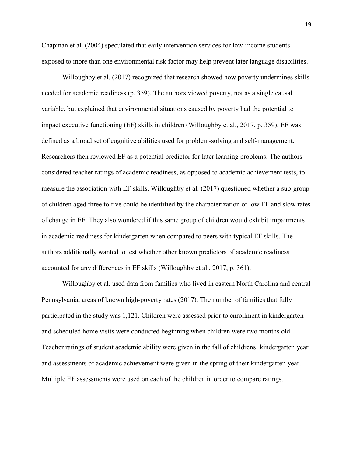Chapman et al. (2004) speculated that early intervention services for low-income students exposed to more than one environmental risk factor may help prevent later language disabilities.

Willoughby et al. (2017) recognized that research showed how poverty undermines skills needed for academic readiness (p. 359). The authors viewed poverty, not as a single causal variable, but explained that environmental situations caused by poverty had the potential to impact executive functioning (EF) skills in children (Willoughby et al., 2017, p. 359). EF was defined as a broad set of cognitive abilities used for problem-solving and self-management. Researchers then reviewed EF as a potential predictor for later learning problems. The authors considered teacher ratings of academic readiness, as opposed to academic achievement tests, to measure the association with EF skills. Willoughby et al. (2017) questioned whether a sub-group of children aged three to five could be identified by the characterization of low EF and slow rates of change in EF. They also wondered if this same group of children would exhibit impairments in academic readiness for kindergarten when compared to peers with typical EF skills. The authors additionally wanted to test whether other known predictors of academic readiness accounted for any differences in EF skills (Willoughby et al., 2017, p. 361).

Willoughby et al. used data from families who lived in eastern North Carolina and central Pennsylvania, areas of known high-poverty rates (2017). The number of families that fully participated in the study was 1,121. Children were assessed prior to enrollment in kindergarten and scheduled home visits were conducted beginning when children were two months old. Teacher ratings of student academic ability were given in the fall of childrens' kindergarten year and assessments of academic achievement were given in the spring of their kindergarten year. Multiple EF assessments were used on each of the children in order to compare ratings.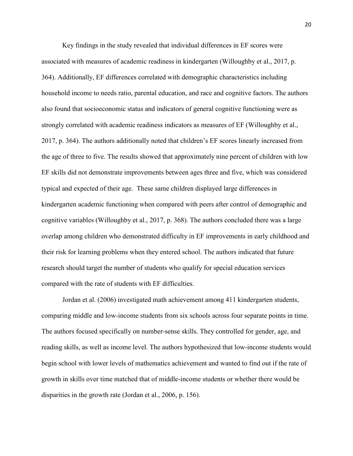Key findings in the study revealed that individual differences in EF scores were associated with measures of academic readiness in kindergarten (Willoughby et al., 2017, p. 364). Additionally, EF differences correlated with demographic characteristics including household income to needs ratio, parental education, and race and cognitive factors. The authors also found that socioeconomic status and indicators of general cognitive functioning were as strongly correlated with academic readiness indicators as measures of EF (Willoughby et al., 2017, p. 364). The authors additionally noted that children's EF scores linearly increased from the age of three to five. The results showed that approximately nine percent of children with low EF skills did not demonstrate improvements between ages three and five, which was considered typical and expected of their age. These same children displayed large differences in kindergarten academic functioning when compared with peers after control of demographic and cognitive variables (Willoughby et al., 2017, p. 368). The authors concluded there was a large overlap among children who demonstrated difficulty in EF improvements in early childhood and their risk for learning problems when they entered school. The authors indicated that future research should target the number of students who qualify for special education services compared with the rate of students with EF difficulties.

Jordan et al. (2006) investigated math achievement among 411 kindergarten students, comparing middle and low-income students from six schools across four separate points in time. The authors focused specifically on number-sense skills. They controlled for gender, age, and reading skills, as well as income level. The authors hypothesized that low-income students would begin school with lower levels of mathematics achievement and wanted to find out if the rate of growth in skills over time matched that of middle-income students or whether there would be disparities in the growth rate (Jordan et al., 2006, p. 156).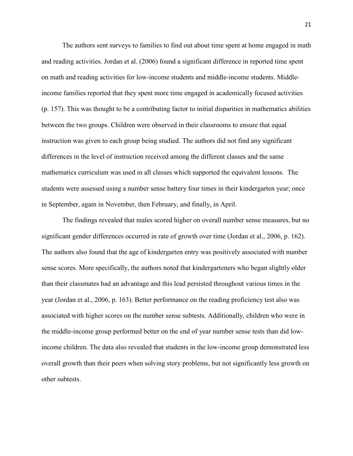The authors sent surveys to families to find out about time spent at home engaged in math and reading activities. Jordan et al. (2006) found a significant difference in reported time spent on math and reading activities for low-income students and middle-income students. Middleincome families reported that they spent more time engaged in academically focused activities (p. 157). This was thought to be a contributing factor to initial disparities in mathematics abilities between the two groups. Children were observed in their classrooms to ensure that equal instruction was given to each group being studied. The authors did not find any significant differences in the level of instruction received among the different classes and the same mathematics curriculum was used in all classes which supported the equivalent lessons. The students were assessed using a number sense battery four times in their kindergarten year; once in September, again in November, then February, and finally, in April.

The findings revealed that males scored higher on overall number sense measures, but no significant gender differences occurred in rate of growth over time (Jordan et al., 2006, p. 162). The authors also found that the age of kindergarten entry was positively associated with number sense scores. More specifically, the authors noted that kindergarteners who began slightly older than their classmates had an advantage and this lead persisted throughout various times in the year (Jordan et al., 2006, p. 163). Better performance on the reading proficiency test also was associated with higher scores on the number sense subtests. Additionally, children who were in the middle-income group performed better on the end of year number sense tests than did lowincome children. The data also revealed that students in the low-income group demonstrated less overall growth than their peers when solving story problems, but not significantly less growth on other subtests.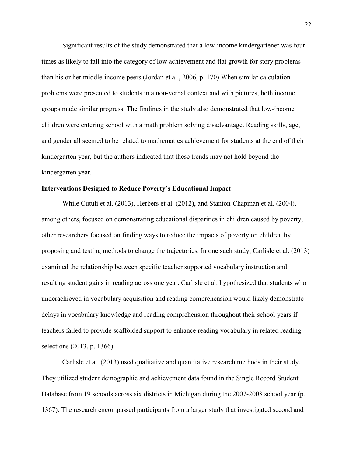Significant results of the study demonstrated that a low-income kindergartener was four times as likely to fall into the category of low achievement and flat growth for story problems than his or her middle-income peers (Jordan et al., 2006, p. 170).When similar calculation problems were presented to students in a non-verbal context and with pictures, both income groups made similar progress. The findings in the study also demonstrated that low-income children were entering school with a math problem solving disadvantage. Reading skills, age, and gender all seemed to be related to mathematics achievement for students at the end of their kindergarten year, but the authors indicated that these trends may not hold beyond the kindergarten year.

### **Interventions Designed to Reduce Poverty's Educational Impact**

While Cutuli et al. (2013), Herbers et al. (2012), and Stanton-Chapman et al. (2004), among others, focused on demonstrating educational disparities in children caused by poverty, other researchers focused on finding ways to reduce the impacts of poverty on children by proposing and testing methods to change the trajectories. In one such study, Carlisle et al. (2013) examined the relationship between specific teacher supported vocabulary instruction and resulting student gains in reading across one year. Carlisle et al. hypothesized that students who underachieved in vocabulary acquisition and reading comprehension would likely demonstrate delays in vocabulary knowledge and reading comprehension throughout their school years if teachers failed to provide scaffolded support to enhance reading vocabulary in related reading selections (2013, p. 1366).

Carlisle et al. (2013) used qualitative and quantitative research methods in their study. They utilized student demographic and achievement data found in the Single Record Student Database from 19 schools across six districts in Michigan during the 2007-2008 school year (p. 1367). The research encompassed participants from a larger study that investigated second and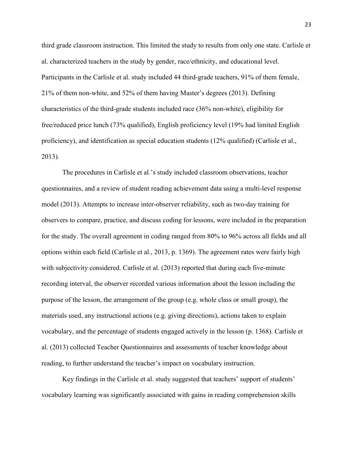third grade classroom instruction. This limited the study to results from only one state. Carlisle et al. characterized teachers in the study by gender, race/ethnicity, and educational level. Participants in the Carlisle et al. study included 44 third-grade teachers, 91% of them female, 21% of them non-white, and 52% of them having Master's degrees (2013). Defining characteristics of the third-grade students included race (36% non-white), eligibility for free/reduced price lunch (73% qualified), English proficiency level (19% had limited English proficiency), and identification as special education students (12% qualified) (Carlisle et al., 2013).

The procedures in Carlisle et al.'s study included classroom observations, teacher questionnaires, and a review of student reading achievement data using a multi-level response model (2013). Attempts to increase inter-observer reliability, such as two-day training for observers to compare, practice, and discuss coding for lessons, were included in the preparation for the study. The overall agreement in coding ranged from 80% to 96% across all fields and all options within each field (Carlisle et al., 2013, p. 1369). The agreement rates were fairly high with subjectivity considered. Carlisle et al. (2013) reported that during each five-minute recording interval, the observer recorded various information about the lesson including the purpose of the lesson, the arrangement of the group (e.g. whole class or small group), the materials used, any instructional actions (e.g. giving directions), actions taken to explain vocabulary, and the percentage of students engaged actively in the lesson (p. 1368). Carlisle et al. (2013) collected Teacher Questionnaires and assessments of teacher knowledge about reading, to further understand the teacher's impact on vocabulary instruction.

Key findings in the Carlisle et al. study suggested that teachers' support of students' vocabulary learning was significantly associated with gains in reading comprehension skills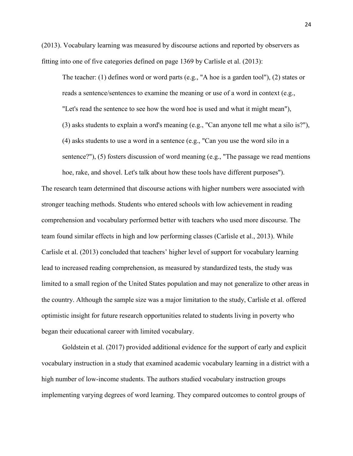(2013). Vocabulary learning was measured by discourse actions and reported by observers as fitting into one of five categories defined on page 1369 by Carlisle et al. (2013):

The teacher: (1) defines word or word parts (e.g., "A hoe is a garden tool"), (2) states or reads a sentence/sentences to examine the meaning or use of a word in context (e.g., "Let's read the sentence to see how the word hoe is used and what it might mean"), (3) asks students to explain a word's meaning (e.g., "Can anyone tell me what a silo is?"), (4) asks students to use a word in a sentence (e.g., "Can you use the word silo in a sentence?"), (5) fosters discussion of word meaning (e.g., "The passage we read mentions hoe, rake, and shovel. Let's talk about how these tools have different purposes").

The research team determined that discourse actions with higher numbers were associated with stronger teaching methods. Students who entered schools with low achievement in reading comprehension and vocabulary performed better with teachers who used more discourse. The team found similar effects in high and low performing classes (Carlisle et al., 2013). While Carlisle et al. (2013) concluded that teachers' higher level of support for vocabulary learning lead to increased reading comprehension, as measured by standardized tests, the study was limited to a small region of the United States population and may not generalize to other areas in the country. Although the sample size was a major limitation to the study, Carlisle et al. offered optimistic insight for future research opportunities related to students living in poverty who began their educational career with limited vocabulary.

Goldstein et al. (2017) provided additional evidence for the support of early and explicit vocabulary instruction in a study that examined academic vocabulary learning in a district with a high number of low-income students. The authors studied vocabulary instruction groups implementing varying degrees of word learning. They compared outcomes to control groups of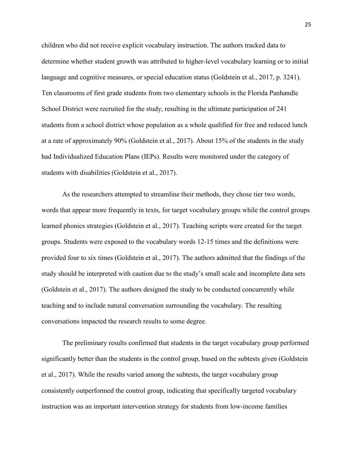children who did not receive explicit vocabulary instruction. The authors tracked data to determine whether student growth was attributed to higher-level vocabulary learning or to initial language and cognitive measures, or special education status (Goldstein et al., 2017, p. 3241). Ten classrooms of first grade students from two elementary schools in the Florida Panhandle School District were recruited for the study, resulting in the ultimate participation of 241 students from a school district whose population as a whole qualified for free and reduced lunch at a rate of approximately 90% (Goldstein et al., 2017). About 15% of the students in the study had Individualized Education Plans (IEPs). Results were monitored under the category of students with disabilities (Goldstein et al., 2017).

As the researchers attempted to streamline their methods, they chose tier two words, words that appear more frequently in texts, for target vocabulary groups while the control groups learned phonics strategies (Goldstein et al., 2017). Teaching scripts were created for the target groups. Students were exposed to the vocabulary words 12-15 times and the definitions were provided four to six times (Goldstein et al., 2017). The authors admitted that the findings of the study should be interpreted with caution due to the study's small scale and incomplete data sets (Goldstein et al., 2017). The authors designed the study to be conducted concurrently while teaching and to include natural conversation surrounding the vocabulary. The resulting conversations impacted the research results to some degree.

The preliminary results confirmed that students in the target vocabulary group performed significantly better than the students in the control group, based on the subtests given (Goldstein et al., 2017). While the results varied among the subtests, the target vocabulary group consistently outperformed the control group, indicating that specifically targeted vocabulary instruction was an important intervention strategy for students from low-income families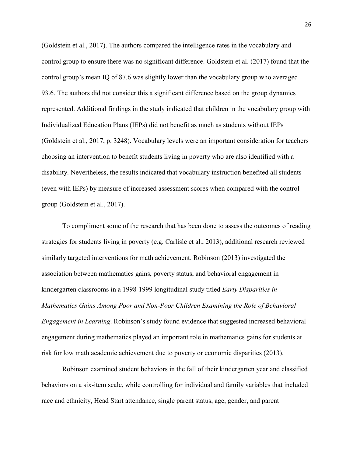(Goldstein et al., 2017). The authors compared the intelligence rates in the vocabulary and control group to ensure there was no significant difference. Goldstein et al. (2017) found that the control group's mean IQ of 87.6 was slightly lower than the vocabulary group who averaged 93.6. The authors did not consider this a significant difference based on the group dynamics represented. Additional findings in the study indicated that children in the vocabulary group with Individualized Education Plans (IEPs) did not benefit as much as students without IEPs (Goldstein et al., 2017, p. 3248). Vocabulary levels were an important consideration for teachers choosing an intervention to benefit students living in poverty who are also identified with a disability. Nevertheless, the results indicated that vocabulary instruction benefited all students (even with IEPs) by measure of increased assessment scores when compared with the control group (Goldstein et al., 2017).

To compliment some of the research that has been done to assess the outcomes of reading strategies for students living in poverty (e.g. Carlisle et al., 2013), additional research reviewed similarly targeted interventions for math achievement. Robinson (2013) investigated the association between mathematics gains, poverty status, and behavioral engagement in kindergarten classrooms in a 1998-1999 longitudinal study titled *Early Disparities in Mathematics Gains Among Poor and Non-Poor Children Examining the Role of Behavioral Engagement in Learning*. Robinson's study found evidence that suggested increased behavioral engagement during mathematics played an important role in mathematics gains for students at risk for low math academic achievement due to poverty or economic disparities (2013).

 Robinson examined student behaviors in the fall of their kindergarten year and classified behaviors on a six-item scale, while controlling for individual and family variables that included race and ethnicity, Head Start attendance, single parent status, age, gender, and parent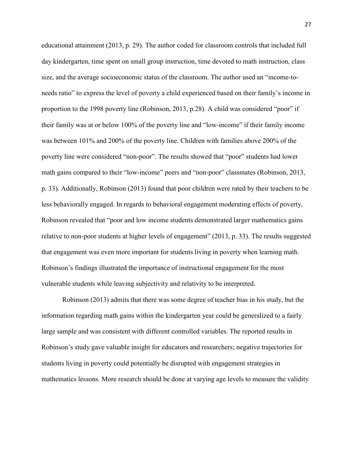educational attainment (2013, p. 29). The author coded for classroom controls that included full day kindergarten, time spent on small group instruction, time devoted to math instruction, class size, and the average socioeconomic status of the classroom. The author used an "income-toneeds ratio" to express the level of poverty a child experienced based on their family's income in proportion to the 1998 poverty line (Robinson, 2013, p.28). A child was considered "poor" if their family was at or below 100% of the poverty line and "low-income" if their family income was between 101% and 200% of the poverty line. Children with families above 200% of the poverty line were considered "non-poor". The results showed that "poor" students had lower math gains compared to their "low-income" peers and "non-poor" classmates (Robinson, 2013, p. 33). Additionally, Robinson (2013) found that poor children were rated by their teachers to be less behaviorally engaged. In regards to behavioral engagement moderating effects of poverty, Robinson revealed that "poor and low income students demonstrated larger mathematics gains relative to non-poor students at higher levels of engagement" (2013, p. 33). The results suggested that engagement was even more important for students living in poverty when learning math. Robinson's findings illustrated the importance of instructional engagement for the most vulnerable students while leaving subjectivity and relativity to be interpreted.

 Robinson (2013) admits that there was some degree of teacher bias in his study, but the information regarding math gains within the kindergarten year could be generalized to a fairly large sample and was consistent with different controlled variables. The reported results in Robinson's study gave valuable insight for educators and researchers; negative trajectories for students living in poverty could potentially be disrupted with engagement strategies in mathematics lessons. More research should be done at varying age levels to measure the validity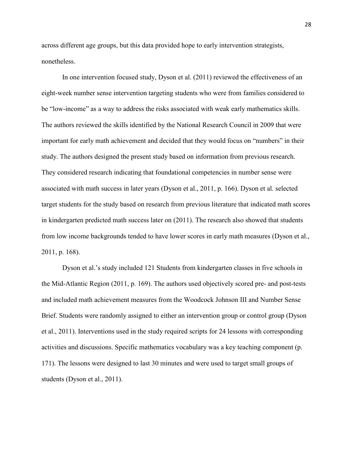across different age groups, but this data provided hope to early intervention strategists, nonetheless.

 In one intervention focused study, Dyson et al. (2011) reviewed the effectiveness of an eight-week number sense intervention targeting students who were from families considered to be "low-income" as a way to address the risks associated with weak early mathematics skills. The authors reviewed the skills identified by the National Research Council in 2009 that were important for early math achievement and decided that they would focus on "numbers" in their study. The authors designed the present study based on information from previous research. They considered research indicating that foundational competencies in number sense were associated with math success in later years (Dyson et al., 2011, p. 166). Dyson et al. selected target students for the study based on research from previous literature that indicated math scores in kindergarten predicted math success later on (2011). The research also showed that students from low income backgrounds tended to have lower scores in early math measures (Dyson et al., 2011, p. 168).

 Dyson et al.'s study included 121 Students from kindergarten classes in five schools in the Mid-Atlantic Region (2011, p. 169). The authors used objectively scored pre- and post-tests and included math achievement measures from the Woodcock Johnson III and Number Sense Brief. Students were randomly assigned to either an intervention group or control group (Dyson et al., 2011). Interventions used in the study required scripts for 24 lessons with corresponding activities and discussions. Specific mathematics vocabulary was a key teaching component (p. 171). The lessons were designed to last 30 minutes and were used to target small groups of students (Dyson et al., 2011).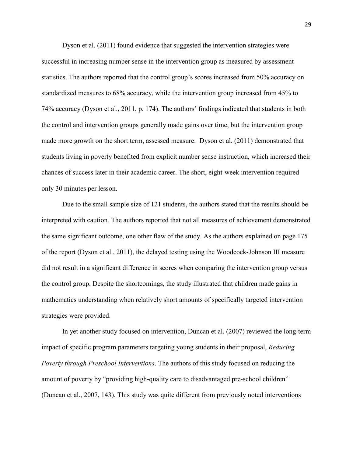Dyson et al. (2011) found evidence that suggested the intervention strategies were successful in increasing number sense in the intervention group as measured by assessment statistics. The authors reported that the control group's scores increased from 50% accuracy on standardized measures to 68% accuracy, while the intervention group increased from 45% to 74% accuracy (Dyson et al., 2011, p. 174). The authors' findings indicated that students in both the control and intervention groups generally made gains over time, but the intervention group made more growth on the short term, assessed measure. Dyson et al. (2011) demonstrated that students living in poverty benefited from explicit number sense instruction, which increased their chances of success later in their academic career. The short, eight-week intervention required only 30 minutes per lesson.

Due to the small sample size of 121 students, the authors stated that the results should be interpreted with caution. The authors reported that not all measures of achievement demonstrated the same significant outcome, one other flaw of the study. As the authors explained on page 175 of the report (Dyson et al., 2011), the delayed testing using the Woodcock-Johnson III measure did not result in a significant difference in scores when comparing the intervention group versus the control group. Despite the shortcomings, the study illustrated that children made gains in mathematics understanding when relatively short amounts of specifically targeted intervention strategies were provided.

 In yet another study focused on intervention, Duncan et al. (2007) reviewed the long-term impact of specific program parameters targeting young students in their proposal, *Reducing Poverty through Preschool Interventions*. The authors of this study focused on reducing the amount of poverty by "providing high-quality care to disadvantaged pre-school children" (Duncan et al., 2007, 143). This study was quite different from previously noted interventions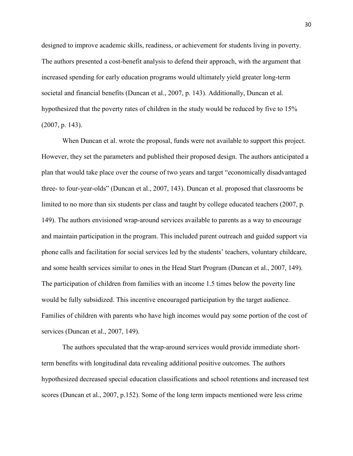designed to improve academic skills, readiness, or achievement for students living in poverty. The authors presented a cost-benefit analysis to defend their approach, with the argument that increased spending for early education programs would ultimately yield greater long-term societal and financial benefits (Duncan et al., 2007, p. 143). Additionally, Duncan et al. hypothesized that the poverty rates of children in the study would be reduced by five to 15% (2007, p. 143).

 When Duncan et al. wrote the proposal, funds were not available to support this project. However, they set the parameters and published their proposed design. The authors anticipated a plan that would take place over the course of two years and target "economically disadvantaged three- to four-year-olds" (Duncan et al., 2007, 143). Duncan et al. proposed that classrooms be limited to no more than six students per class and taught by college educated teachers (2007, p. 149). The authors envisioned wrap-around services available to parents as a way to encourage and maintain participation in the program. This included parent outreach and guided support via phone calls and facilitation for social services led by the students' teachers, voluntary childcare, and some health services similar to ones in the Head Start Program (Duncan et al., 2007, 149). The participation of children from families with an income 1.5 times below the poverty line would be fully subsidized. This incentive encouraged participation by the target audience. Families of children with parents who have high incomes would pay some portion of the cost of services (Duncan et al., 2007, 149).

 The authors speculated that the wrap-around services would provide immediate shortterm benefits with longitudinal data revealing additional positive outcomes. The authors hypothesized decreased special education classifications and school retentions and increased test scores (Duncan et al., 2007, p.152). Some of the long term impacts mentioned were less crime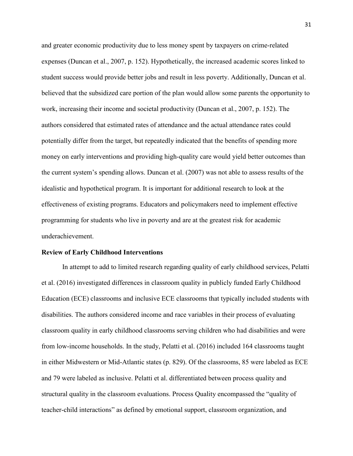and greater economic productivity due to less money spent by taxpayers on crime-related expenses (Duncan et al., 2007, p. 152). Hypothetically, the increased academic scores linked to student success would provide better jobs and result in less poverty. Additionally, Duncan et al. believed that the subsidized care portion of the plan would allow some parents the opportunity to work, increasing their income and societal productivity (Duncan et al., 2007, p. 152). The authors considered that estimated rates of attendance and the actual attendance rates could potentially differ from the target, but repeatedly indicated that the benefits of spending more money on early interventions and providing high-quality care would yield better outcomes than the current system's spending allows. Duncan et al. (2007) was not able to assess results of the idealistic and hypothetical program. It is important for additional research to look at the effectiveness of existing programs. Educators and policymakers need to implement effective programming for students who live in poverty and are at the greatest risk for academic underachievement.

### **Review of Early Childhood Interventions**

In attempt to add to limited research regarding quality of early childhood services, Pelatti et al. (2016) investigated differences in classroom quality in publicly funded Early Childhood Education (ECE) classrooms and inclusive ECE classrooms that typically included students with disabilities. The authors considered income and race variables in their process of evaluating classroom quality in early childhood classrooms serving children who had disabilities and were from low-income households. In the study, Pelatti et al. (2016) included 164 classrooms taught in either Midwestern or Mid-Atlantic states (p. 829). Of the classrooms, 85 were labeled as ECE and 79 were labeled as inclusive. Pelatti et al. differentiated between process quality and structural quality in the classroom evaluations. Process Quality encompassed the "quality of teacher-child interactions" as defined by emotional support, classroom organization, and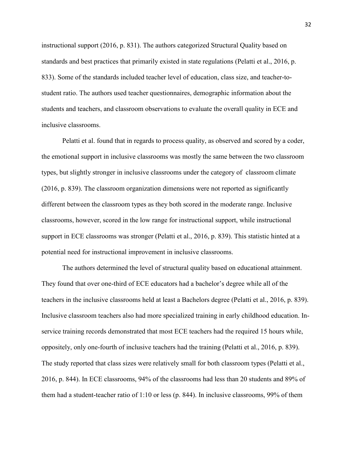instructional support (2016, p. 831). The authors categorized Structural Quality based on standards and best practices that primarily existed in state regulations (Pelatti et al., 2016, p. 833). Some of the standards included teacher level of education, class size, and teacher-tostudent ratio. The authors used teacher questionnaires, demographic information about the students and teachers, and classroom observations to evaluate the overall quality in ECE and inclusive classrooms.

Pelatti et al. found that in regards to process quality, as observed and scored by a coder, the emotional support in inclusive classrooms was mostly the same between the two classroom types, but slightly stronger in inclusive classrooms under the category of classroom climate (2016, p. 839). The classroom organization dimensions were not reported as significantly different between the classroom types as they both scored in the moderate range. Inclusive classrooms, however, scored in the low range for instructional support, while instructional support in ECE classrooms was stronger (Pelatti et al., 2016, p. 839). This statistic hinted at a potential need for instructional improvement in inclusive classrooms.

The authors determined the level of structural quality based on educational attainment. They found that over one-third of ECE educators had a bachelor's degree while all of the teachers in the inclusive classrooms held at least a Bachelors degree (Pelatti et al., 2016, p. 839). Inclusive classroom teachers also had more specialized training in early childhood education. Inservice training records demonstrated that most ECE teachers had the required 15 hours while, oppositely, only one-fourth of inclusive teachers had the training (Pelatti et al., 2016, p. 839). The study reported that class sizes were relatively small for both classroom types (Pelatti et al., 2016, p. 844). In ECE classrooms, 94% of the classrooms had less than 20 students and 89% of them had a student-teacher ratio of 1:10 or less (p. 844). In inclusive classrooms, 99% of them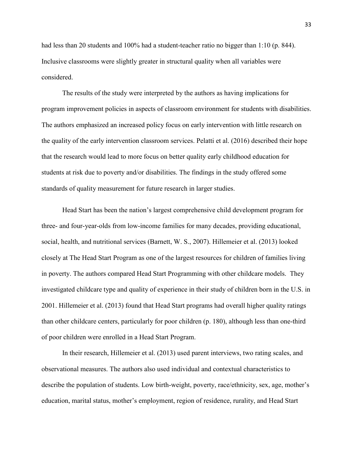had less than 20 students and 100% had a student-teacher ratio no bigger than 1:10 (p. 844). Inclusive classrooms were slightly greater in structural quality when all variables were considered.

The results of the study were interpreted by the authors as having implications for program improvement policies in aspects of classroom environment for students with disabilities. The authors emphasized an increased policy focus on early intervention with little research on the quality of the early intervention classroom services. Pelatti et al. (2016) described their hope that the research would lead to more focus on better quality early childhood education for students at risk due to poverty and/or disabilities. The findings in the study offered some standards of quality measurement for future research in larger studies.

Head Start has been the nation's largest comprehensive child development program for three- and four-year-olds from low-income families for many decades, providing educational, social, health, and nutritional services (Barnett, W. S., 2007). Hillemeier et al. (2013) looked closely at The Head Start Program as one of the largest resources for children of families living in poverty. The authors compared Head Start Programming with other childcare models. They investigated childcare type and quality of experience in their study of children born in the U.S. in 2001. Hillemeier et al. (2013) found that Head Start programs had overall higher quality ratings than other childcare centers, particularly for poor children (p. 180), although less than one-third of poor children were enrolled in a Head Start Program.

 In their research, Hillemeier et al. (2013) used parent interviews, two rating scales, and observational measures. The authors also used individual and contextual characteristics to describe the population of students. Low birth-weight, poverty, race/ethnicity, sex, age, mother's education, marital status, mother's employment, region of residence, rurality, and Head Start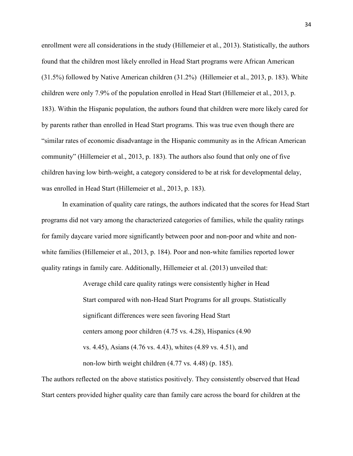enrollment were all considerations in the study (Hillemeier et al., 2013). Statistically, the authors found that the children most likely enrolled in Head Start programs were African American (31.5%) followed by Native American children (31.2%) (Hillemeier et al., 2013, p. 183). White children were only 7.9% of the population enrolled in Head Start (Hillemeier et al., 2013, p. 183). Within the Hispanic population, the authors found that children were more likely cared for by parents rather than enrolled in Head Start programs. This was true even though there are "similar rates of economic disadvantage in the Hispanic community as in the African American community" (Hillemeier et al., 2013, p. 183). The authors also found that only one of five children having low birth-weight, a category considered to be at risk for developmental delay, was enrolled in Head Start (Hillemeier et al., 2013, p. 183).

In examination of quality care ratings, the authors indicated that the scores for Head Start programs did not vary among the characterized categories of families, while the quality ratings for family daycare varied more significantly between poor and non-poor and white and nonwhite families (Hillemeier et al., 2013, p. 184). Poor and non-white families reported lower quality ratings in family care. Additionally, Hillemeier et al. (2013) unveiled that:

> Average child care quality ratings were consistently higher in Head Start compared with non-Head Start Programs for all groups. Statistically significant differences were seen favoring Head Start centers among poor children (4.75 vs. 4.28), Hispanics (4.90 vs. 4.45), Asians (4.76 vs. 4.43), whites (4.89 vs. 4.51), and non-low birth weight children (4.77 vs. 4.48) (p. 185).

The authors reflected on the above statistics positively. They consistently observed that Head Start centers provided higher quality care than family care across the board for children at the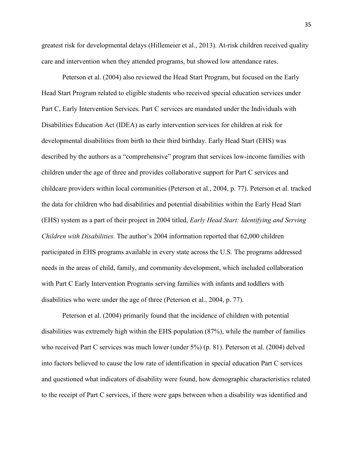greatest risk for developmental delays (Hillemeier et al., 2013). At-risk children received quality care and intervention when they attended programs, but showed low attendance rates.

Peterson et al. (2004) also reviewed the Head Start Program, but focused on the Early Head Start Program related to eligible students who received special education services under Part C, Early Intervention Services. Part C services are mandated under the Individuals with Disabilities Education Act (IDEA) as early intervention services for children at risk for developmental disabilities from birth to their third birthday. Early Head Start (EHS) was described by the authors as a "comprehensive" program that services low-income families with children under the age of three and provides collaborative support for Part C services and childcare providers within local communities (Peterson et al., 2004, p. 77). Peterson et al. tracked the data for children who had disabilities and potential disabilities within the Early Head Start (EHS) system as a part of their project in 2004 titled, *Early Head Start: Identifying and Serving Children with Disabilities.* The author's 2004 information reported that 62,000 children participated in EHS programs available in every state across the U.S. The programs addressed needs in the areas of child, family, and community development, which included collaboration with Part C Early Intervention Programs serving families with infants and toddlers with disabilities who were under the age of three (Peterson et al., 2004, p. 77).

Peterson et al. (2004) primarily found that the incidence of children with potential disabilities was extremely high within the EHS population (87%), while the number of families who received Part C services was much lower (under 5%) (p. 81). Peterson et al. (2004) delved into factors believed to cause the low rate of identification in special education Part C services and questioned what indicators of disability were found, how demographic characteristics related to the receipt of Part C services, if there were gaps between when a disability was identified and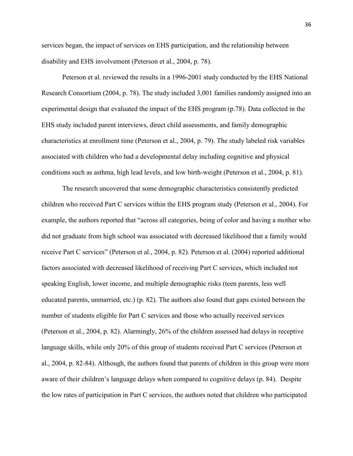services began, the impact of services on EHS participation, and the relationship between disability and EHS involvement (Peterson et al., 2004, p. 78).

 Peterson et al. reviewed the results in a 1996-2001 study conducted by the EHS National Research Consortium (2004, p. 78). The study included 3,001 families randomly assigned into an experimental design that evaluated the impact of the EHS program (p.78). Data collected in the EHS study included parent interviews, direct child assessments, and family demographic characteristics at enrollment time (Peterson et al., 2004, p. 79). The study labeled risk variables associated with children who had a developmental delay including cognitive and physical conditions such as asthma, high lead levels, and low birth-weight (Peterson et al., 2004, p. 81).

The research uncovered that some demographic characteristics consistently predicted children who received Part C services within the EHS program study (Peterson et al., 2004). For example, the authors reported that "across all categories, being of color and having a mother who did not graduate from high school was associated with decreased likelihood that a family would receive Part C services" (Peterson et al., 2004, p. 82). Peterson et al. (2004) reported additional factors associated with decreased likelihood of receiving Part C services, which included not speaking English, lower income, and multiple demographic risks (teen parents, less well educated parents, unmarried, etc.) (p. 82). The authors also found that gaps existed between the number of students eligible for Part C services and those who actually received services (Peterson et al., 2004, p. 82). Alarmingly, 26% of the children assessed had delays in receptive language skills, while only 20% of this group of students received Part C services (Peterson et al., 2004, p. 82-84). Although, the authors found that parents of children in this group were more aware of their children's language delays when compared to cognitive delays (p. 84). Despite the low rates of participation in Part C services, the authors noted that children who participated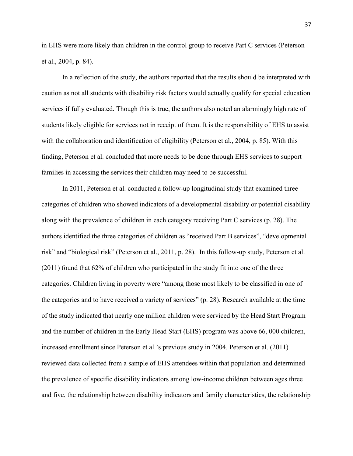in EHS were more likely than children in the control group to receive Part C services (Peterson et al., 2004, p. 84).

In a reflection of the study, the authors reported that the results should be interpreted with caution as not all students with disability risk factors would actually qualify for special education services if fully evaluated. Though this is true, the authors also noted an alarmingly high rate of students likely eligible for services not in receipt of them. It is the responsibility of EHS to assist with the collaboration and identification of eligibility (Peterson et al., 2004, p. 85). With this finding, Peterson et al. concluded that more needs to be done through EHS services to support families in accessing the services their children may need to be successful.

In 2011, Peterson et al. conducted a follow-up longitudinal study that examined three categories of children who showed indicators of a developmental disability or potential disability along with the prevalence of children in each category receiving Part C services (p. 28). The authors identified the three categories of children as "received Part B services", "developmental risk" and "biological risk" (Peterson et al., 2011, p. 28). In this follow-up study, Peterson et al. (2011) found that 62% of children who participated in the study fit into one of the three categories. Children living in poverty were "among those most likely to be classified in one of the categories and to have received a variety of services" (p. 28). Research available at the time of the study indicated that nearly one million children were serviced by the Head Start Program and the number of children in the Early Head Start (EHS) program was above 66, 000 children, increased enrollment since Peterson et al.'s previous study in 2004. Peterson et al. (2011) reviewed data collected from a sample of EHS attendees within that population and determined the prevalence of specific disability indicators among low-income children between ages three and five, the relationship between disability indicators and family characteristics, the relationship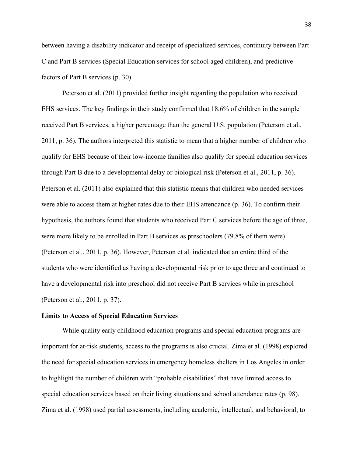between having a disability indicator and receipt of specialized services, continuity between Part C and Part B services (Special Education services for school aged children), and predictive factors of Part B services (p. 30).

Peterson et al. (2011) provided further insight regarding the population who received EHS services. The key findings in their study confirmed that 18.6% of children in the sample received Part B services, a higher percentage than the general U.S. population (Peterson et al., 2011, p. 36). The authors interpreted this statistic to mean that a higher number of children who qualify for EHS because of their low-income families also qualify for special education services through Part B due to a developmental delay or biological risk (Peterson et al., 2011, p. 36). Peterson et al. (2011) also explained that this statistic means that children who needed services were able to access them at higher rates due to their EHS attendance (p. 36). To confirm their hypothesis, the authors found that students who received Part C services before the age of three, were more likely to be enrolled in Part B services as preschoolers (79.8% of them were) (Peterson et al., 2011, p. 36). However, Peterson et al. indicated that an entire third of the students who were identified as having a developmental risk prior to age three and continued to have a developmental risk into preschool did not receive Part B services while in preschool (Peterson et al., 2011, p. 37).

#### **Limits to Access of Special Education Services**

While quality early childhood education programs and special education programs are important for at-risk students, access to the programs is also crucial. Zima et al. (1998) explored the need for special education services in emergency homeless shelters in Los Angeles in order to highlight the number of children with "probable disabilities" that have limited access to special education services based on their living situations and school attendance rates (p. 98). Zima et al. (1998) used partial assessments, including academic, intellectual, and behavioral, to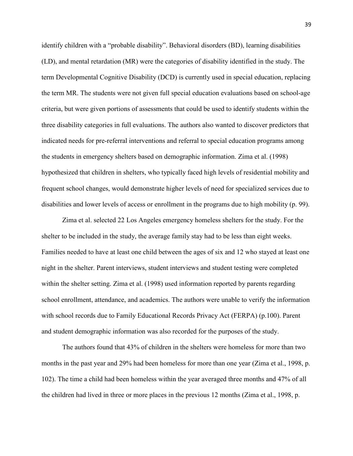identify children with a "probable disability". Behavioral disorders (BD), learning disabilities (LD), and mental retardation (MR) were the categories of disability identified in the study. The term Developmental Cognitive Disability (DCD) is currently used in special education, replacing the term MR. The students were not given full special education evaluations based on school-age criteria, but were given portions of assessments that could be used to identify students within the three disability categories in full evaluations. The authors also wanted to discover predictors that indicated needs for pre-referral interventions and referral to special education programs among the students in emergency shelters based on demographic information. Zima et al. (1998) hypothesized that children in shelters, who typically faced high levels of residential mobility and frequent school changes, would demonstrate higher levels of need for specialized services due to disabilities and lower levels of access or enrollment in the programs due to high mobility (p. 99).

Zima et al. selected 22 Los Angeles emergency homeless shelters for the study. For the shelter to be included in the study, the average family stay had to be less than eight weeks. Families needed to have at least one child between the ages of six and 12 who stayed at least one night in the shelter. Parent interviews, student interviews and student testing were completed within the shelter setting. Zima et al. (1998) used information reported by parents regarding school enrollment, attendance, and academics. The authors were unable to verify the information with school records due to Family Educational Records Privacy Act (FERPA) (p.100). Parent and student demographic information was also recorded for the purposes of the study.

The authors found that 43% of children in the shelters were homeless for more than two months in the past year and 29% had been homeless for more than one year (Zima et al., 1998, p. 102). The time a child had been homeless within the year averaged three months and 47% of all the children had lived in three or more places in the previous 12 months (Zima et al., 1998, p.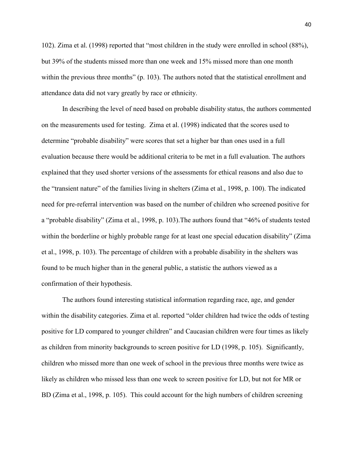102). Zima et al. (1998) reported that "most children in the study were enrolled in school (88%), but 39% of the students missed more than one week and 15% missed more than one month within the previous three months" (p. 103). The authors noted that the statistical enrollment and attendance data did not vary greatly by race or ethnicity.

In describing the level of need based on probable disability status, the authors commented on the measurements used for testing. Zima et al. (1998) indicated that the scores used to determine "probable disability" were scores that set a higher bar than ones used in a full evaluation because there would be additional criteria to be met in a full evaluation. The authors explained that they used shorter versions of the assessments for ethical reasons and also due to the "transient nature" of the families living in shelters (Zima et al., 1998, p. 100). The indicated need for pre-referral intervention was based on the number of children who screened positive for a "probable disability" (Zima et al., 1998, p. 103).The authors found that "46% of students tested within the borderline or highly probable range for at least one special education disability" (Zima et al., 1998, p. 103). The percentage of children with a probable disability in the shelters was found to be much higher than in the general public, a statistic the authors viewed as a confirmation of their hypothesis.

The authors found interesting statistical information regarding race, age, and gender within the disability categories. Zima et al. reported "older children had twice the odds of testing positive for LD compared to younger children" and Caucasian children were four times as likely as children from minority backgrounds to screen positive for LD (1998, p. 105). Significantly, children who missed more than one week of school in the previous three months were twice as likely as children who missed less than one week to screen positive for LD, but not for MR or BD (Zima et al., 1998, p. 105). This could account for the high numbers of children screening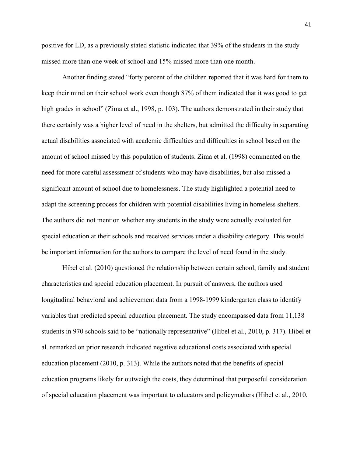positive for LD, as a previously stated statistic indicated that 39% of the students in the study missed more than one week of school and 15% missed more than one month.

Another finding stated "forty percent of the children reported that it was hard for them to keep their mind on their school work even though 87% of them indicated that it was good to get high grades in school" (Zima et al., 1998, p. 103). The authors demonstrated in their study that there certainly was a higher level of need in the shelters, but admitted the difficulty in separating actual disabilities associated with academic difficulties and difficulties in school based on the amount of school missed by this population of students. Zima et al. (1998) commented on the need for more careful assessment of students who may have disabilities, but also missed a significant amount of school due to homelessness. The study highlighted a potential need to adapt the screening process for children with potential disabilities living in homeless shelters. The authors did not mention whether any students in the study were actually evaluated for special education at their schools and received services under a disability category. This would be important information for the authors to compare the level of need found in the study.

Hibel et al. (2010) questioned the relationship between certain school, family and student characteristics and special education placement. In pursuit of answers, the authors used longitudinal behavioral and achievement data from a 1998-1999 kindergarten class to identify variables that predicted special education placement. The study encompassed data from 11,138 students in 970 schools said to be "nationally representative" (Hibel et al., 2010, p. 317). Hibel et al. remarked on prior research indicated negative educational costs associated with special education placement (2010, p. 313). While the authors noted that the benefits of special education programs likely far outweigh the costs, they determined that purposeful consideration of special education placement was important to educators and policymakers (Hibel et al., 2010,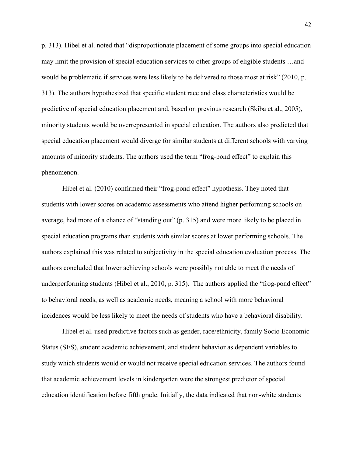p. 313). Hibel et al. noted that "disproportionate placement of some groups into special education may limit the provision of special education services to other groups of eligible students …and would be problematic if services were less likely to be delivered to those most at risk" (2010, p. 313). The authors hypothesized that specific student race and class characteristics would be predictive of special education placement and, based on previous research (Skiba et al., 2005), minority students would be overrepresented in special education. The authors also predicted that special education placement would diverge for similar students at different schools with varying amounts of minority students. The authors used the term "frog-pond effect" to explain this phenomenon.

Hibel et al. (2010) confirmed their "frog-pond effect" hypothesis. They noted that students with lower scores on academic assessments who attend higher performing schools on average, had more of a chance of "standing out" (p. 315) and were more likely to be placed in special education programs than students with similar scores at lower performing schools. The authors explained this was related to subjectivity in the special education evaluation process. The authors concluded that lower achieving schools were possibly not able to meet the needs of underperforming students (Hibel et al., 2010, p. 315). The authors applied the "frog-pond effect" to behavioral needs, as well as academic needs, meaning a school with more behavioral incidences would be less likely to meet the needs of students who have a behavioral disability.

Hibel et al. used predictive factors such as gender, race/ethnicity, family Socio Economic Status (SES), student academic achievement, and student behavior as dependent variables to study which students would or would not receive special education services. The authors found that academic achievement levels in kindergarten were the strongest predictor of special education identification before fifth grade. Initially, the data indicated that non-white students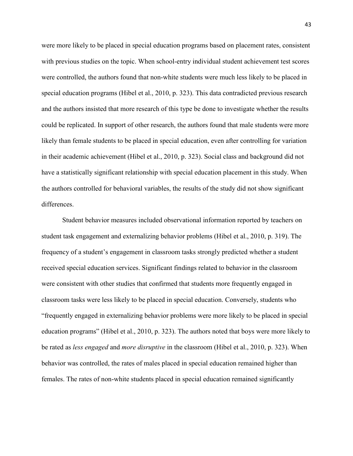were more likely to be placed in special education programs based on placement rates, consistent with previous studies on the topic. When school-entry individual student achievement test scores were controlled, the authors found that non-white students were much less likely to be placed in special education programs (Hibel et al., 2010, p. 323). This data contradicted previous research and the authors insisted that more research of this type be done to investigate whether the results could be replicated. In support of other research, the authors found that male students were more likely than female students to be placed in special education, even after controlling for variation in their academic achievement (Hibel et al., 2010, p. 323). Social class and background did not have a statistically significant relationship with special education placement in this study. When the authors controlled for behavioral variables, the results of the study did not show significant differences.

Student behavior measures included observational information reported by teachers on student task engagement and externalizing behavior problems (Hibel et al., 2010, p. 319). The frequency of a student's engagement in classroom tasks strongly predicted whether a student received special education services. Significant findings related to behavior in the classroom were consistent with other studies that confirmed that students more frequently engaged in classroom tasks were less likely to be placed in special education. Conversely, students who "frequently engaged in externalizing behavior problems were more likely to be placed in special education programs" (Hibel et al., 2010, p. 323). The authors noted that boys were more likely to be rated as *less engaged* and *more disruptive* in the classroom (Hibel et al., 2010, p. 323). When behavior was controlled, the rates of males placed in special education remained higher than females. The rates of non-white students placed in special education remained significantly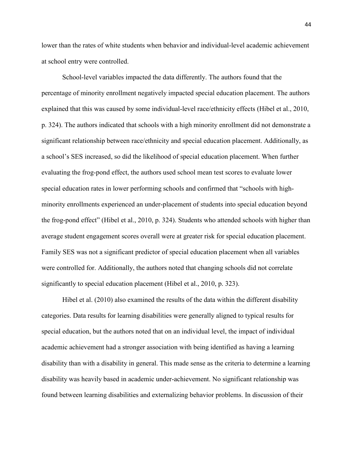lower than the rates of white students when behavior and individual-level academic achievement at school entry were controlled.

School-level variables impacted the data differently. The authors found that the percentage of minority enrollment negatively impacted special education placement. The authors explained that this was caused by some individual-level race/ethnicity effects (Hibel et al., 2010, p. 324). The authors indicated that schools with a high minority enrollment did not demonstrate a significant relationship between race/ethnicity and special education placement. Additionally, as a school's SES increased, so did the likelihood of special education placement. When further evaluating the frog-pond effect, the authors used school mean test scores to evaluate lower special education rates in lower performing schools and confirmed that "schools with highminority enrollments experienced an under-placement of students into special education beyond the frog-pond effect" (Hibel et al., 2010, p. 324). Students who attended schools with higher than average student engagement scores overall were at greater risk for special education placement. Family SES was not a significant predictor of special education placement when all variables were controlled for. Additionally, the authors noted that changing schools did not correlate significantly to special education placement (Hibel et al., 2010, p. 323).

Hibel et al. (2010) also examined the results of the data within the different disability categories. Data results for learning disabilities were generally aligned to typical results for special education, but the authors noted that on an individual level, the impact of individual academic achievement had a stronger association with being identified as having a learning disability than with a disability in general. This made sense as the criteria to determine a learning disability was heavily based in academic under-achievement. No significant relationship was found between learning disabilities and externalizing behavior problems. In discussion of their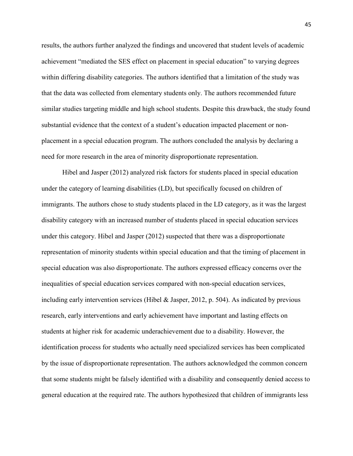results, the authors further analyzed the findings and uncovered that student levels of academic achievement "mediated the SES effect on placement in special education" to varying degrees within differing disability categories. The authors identified that a limitation of the study was that the data was collected from elementary students only. The authors recommended future similar studies targeting middle and high school students. Despite this drawback, the study found substantial evidence that the context of a student's education impacted placement or nonplacement in a special education program. The authors concluded the analysis by declaring a need for more research in the area of minority disproportionate representation.

Hibel and Jasper (2012) analyzed risk factors for students placed in special education under the category of learning disabilities (LD), but specifically focused on children of immigrants. The authors chose to study students placed in the LD category, as it was the largest disability category with an increased number of students placed in special education services under this category. Hibel and Jasper (2012) suspected that there was a disproportionate representation of minority students within special education and that the timing of placement in special education was also disproportionate. The authors expressed efficacy concerns over the inequalities of special education services compared with non-special education services, including early intervention services (Hibel & Jasper, 2012, p. 504). As indicated by previous research, early interventions and early achievement have important and lasting effects on students at higher risk for academic underachievement due to a disability. However, the identification process for students who actually need specialized services has been complicated by the issue of disproportionate representation. The authors acknowledged the common concern that some students might be falsely identified with a disability and consequently denied access to general education at the required rate. The authors hypothesized that children of immigrants less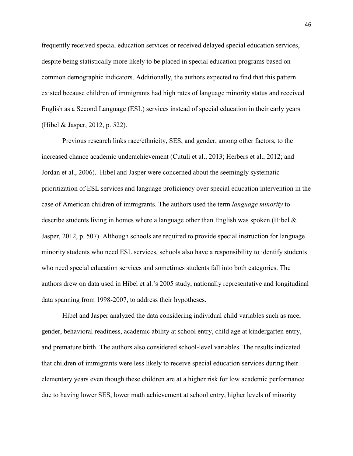frequently received special education services or received delayed special education services, despite being statistically more likely to be placed in special education programs based on common demographic indicators. Additionally, the authors expected to find that this pattern existed because children of immigrants had high rates of language minority status and received English as a Second Language (ESL) services instead of special education in their early years (Hibel & Jasper, 2012, p. 522).

Previous research links race/ethnicity, SES, and gender, among other factors, to the increased chance academic underachievement (Cutuli et al., 2013; Herbers et al., 2012; and Jordan et al., 2006). Hibel and Jasper were concerned about the seemingly systematic prioritization of ESL services and language proficiency over special education intervention in the case of American children of immigrants. The authors used the term *language minority* to describe students living in homes where a language other than English was spoken (Hibel & Jasper, 2012, p. 507). Although schools are required to provide special instruction for language minority students who need ESL services, schools also have a responsibility to identify students who need special education services and sometimes students fall into both categories. The authors drew on data used in Hibel et al.'s 2005 study, nationally representative and longitudinal data spanning from 1998-2007, to address their hypotheses.

Hibel and Jasper analyzed the data considering individual child variables such as race, gender, behavioral readiness, academic ability at school entry, child age at kindergarten entry, and premature birth. The authors also considered school-level variables. The results indicated that children of immigrants were less likely to receive special education services during their elementary years even though these children are at a higher risk for low academic performance due to having lower SES, lower math achievement at school entry, higher levels of minority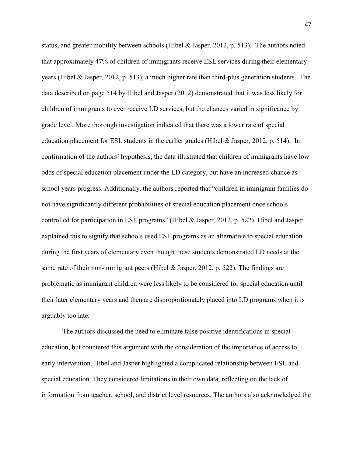status, and greater mobility between schools (Hibel & Jasper, 2012, p. 513). The authors noted that approximately 47% of children of immigrants receive ESL services during their elementary years (Hibel & Jasper, 2012, p. 513), a much higher rate than third-plus generation students. The data described on page 514 by Hibel and Jasper (2012) demonstrated that it was less likely for children of immigrants to ever receive LD services, but the chances varied in significance by grade level. More thorough investigation indicated that there was a lower rate of special education placement for ESL students in the earlier grades (Hibel & Jasper, 2012, p. 514). In confirmation of the authors' hypothesis, the data illustrated that children of immigrants have low odds of special education placement under the LD category, but have an increased chance as school years progress. Additionally, the authors reported that "children in immigrant families do not have significantly different probabilities of special education placement once schools controlled for participation in ESL programs" (Hibel & Jasper, 2012, p. 522). Hibel and Jasper explained this to signify that schools used ESL programs as an alternative to special education during the first years of elementary even though these students demonstrated LD needs at the same rate of their non-immigrant peers (Hibel  $\&$  Jasper, 2012, p. 522). The findings are problematic as immigrant children were less likely to be considered for special education until their later elementary years and then are disproportionately placed into LD programs when it is arguably too late.

The authors discussed the need to eliminate false positive identifications in special education, but countered this argument with the consideration of the importance of access to early intervention. Hibel and Jasper highlighted a complicated relationship between ESL and special education. They considered limitations in their own data, reflecting on the lack of information from teacher, school, and district level resources. The authors also acknowledged the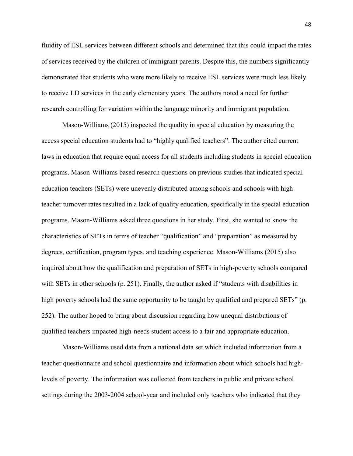fluidity of ESL services between different schools and determined that this could impact the rates of services received by the children of immigrant parents. Despite this, the numbers significantly demonstrated that students who were more likely to receive ESL services were much less likely to receive LD services in the early elementary years. The authors noted a need for further research controlling for variation within the language minority and immigrant population.

Mason-Williams (2015) inspected the quality in special education by measuring the access special education students had to "highly qualified teachers". The author cited current laws in education that require equal access for all students including students in special education programs. Mason-Williams based research questions on previous studies that indicated special education teachers (SETs) were unevenly distributed among schools and schools with high teacher turnover rates resulted in a lack of quality education, specifically in the special education programs. Mason-Williams asked three questions in her study. First, she wanted to know the characteristics of SETs in terms of teacher "qualification" and "preparation" as measured by degrees, certification, program types, and teaching experience. Mason-Williams (2015) also inquired about how the qualification and preparation of SETs in high-poverty schools compared with SETs in other schools (p. 251). Finally, the author asked if "students with disabilities in high poverty schools had the same opportunity to be taught by qualified and prepared SETs" (p. 252). The author hoped to bring about discussion regarding how unequal distributions of qualified teachers impacted high-needs student access to a fair and appropriate education.

Mason-Williams used data from a national data set which included information from a teacher questionnaire and school questionnaire and information about which schools had highlevels of poverty. The information was collected from teachers in public and private school settings during the 2003-2004 school-year and included only teachers who indicated that they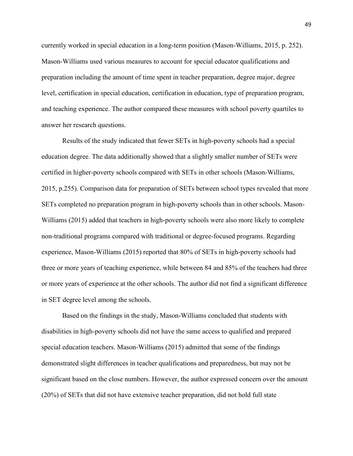currently worked in special education in a long-term position (Mason-Williams, 2015, p. 252). Mason-Williams used various measures to account for special educator qualifications and preparation including the amount of time spent in teacher preparation, degree major, degree level, certification in special education, certification in education, type of preparation program, and teaching experience. The author compared these measures with school poverty quartiles to answer her research questions.

Results of the study indicated that fewer SETs in high-poverty schools had a special education degree. The data additionally showed that a slightly smaller number of SETs were certified in higher-poverty schools compared with SETs in other schools (Mason-Williams, 2015, p.255). Comparison data for preparation of SETs between school types revealed that more SETs completed no preparation program in high-poverty schools than in other schools. Mason-Williams (2015) added that teachers in high-poverty schools were also more likely to complete non-traditional programs compared with traditional or degree-focused programs. Regarding experience, Mason-Williams (2015) reported that 80% of SETs in high-poverty schools had three or more years of teaching experience, while between 84 and 85% of the teachers had three or more years of experience at the other schools. The author did not find a significant difference in SET degree level among the schools.

Based on the findings in the study, Mason-Williams concluded that students with disabilities in high-poverty schools did not have the same access to qualified and prepared special education teachers. Mason-Williams (2015) admitted that some of the findings demonstrated slight differences in teacher qualifications and preparedness, but may not be significant based on the close numbers. However, the author expressed concern over the amount (20%) of SETs that did not have extensive teacher preparation, did not hold full state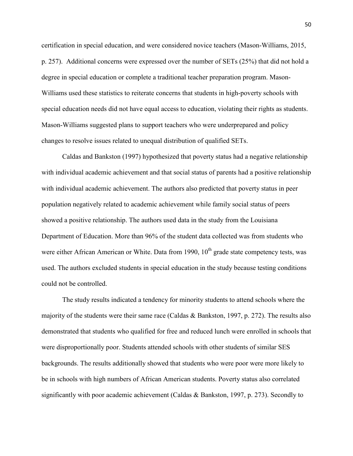certification in special education, and were considered novice teachers (Mason-Williams, 2015, p. 257). Additional concerns were expressed over the number of SETs (25%) that did not hold a degree in special education or complete a traditional teacher preparation program. Mason-Williams used these statistics to reiterate concerns that students in high-poverty schools with special education needs did not have equal access to education, violating their rights as students. Mason-Williams suggested plans to support teachers who were underprepared and policy changes to resolve issues related to unequal distribution of qualified SETs.

Caldas and Bankston (1997) hypothesized that poverty status had a negative relationship with individual academic achievement and that social status of parents had a positive relationship with individual academic achievement. The authors also predicted that poverty status in peer population negatively related to academic achievement while family social status of peers showed a positive relationship. The authors used data in the study from the Louisiana Department of Education. More than 96% of the student data collected was from students who were either African American or White. Data from 1990,  $10<sup>th</sup>$  grade state competency tests, was used. The authors excluded students in special education in the study because testing conditions could not be controlled.

The study results indicated a tendency for minority students to attend schools where the majority of the students were their same race (Caldas  $\&$  Bankston, 1997, p. 272). The results also demonstrated that students who qualified for free and reduced lunch were enrolled in schools that were disproportionally poor. Students attended schools with other students of similar SES backgrounds. The results additionally showed that students who were poor were more likely to be in schools with high numbers of African American students. Poverty status also correlated significantly with poor academic achievement (Caldas & Bankston, 1997, p. 273). Secondly to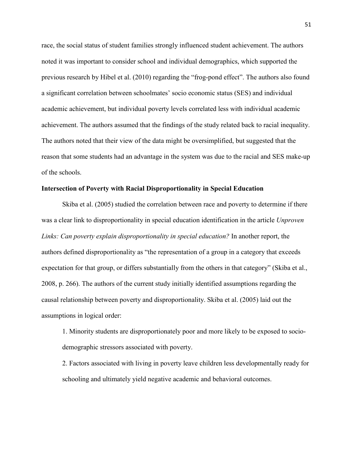race, the social status of student families strongly influenced student achievement. The authors noted it was important to consider school and individual demographics, which supported the previous research by Hibel et al. (2010) regarding the "frog-pond effect". The authors also found a significant correlation between schoolmates' socio economic status (SES) and individual academic achievement, but individual poverty levels correlated less with individual academic achievement. The authors assumed that the findings of the study related back to racial inequality. The authors noted that their view of the data might be oversimplified, but suggested that the reason that some students had an advantage in the system was due to the racial and SES make-up of the schools.

## **Intersection of Poverty with Racial Disproportionality in Special Education**

Skiba et al. (2005) studied the correlation between race and poverty to determine if there was a clear link to disproportionality in special education identification in the article *Unproven Links: Can poverty explain disproportionality in special education?* In another report, the authors defined disproportionality as "the representation of a group in a category that exceeds expectation for that group, or differs substantially from the others in that category" (Skiba et al., 2008, p. 266). The authors of the current study initially identified assumptions regarding the causal relationship between poverty and disproportionality. Skiba et al. (2005) laid out the assumptions in logical order:

1. Minority students are disproportionately poor and more likely to be exposed to sociodemographic stressors associated with poverty.

2. Factors associated with living in poverty leave children less developmentally ready for schooling and ultimately yield negative academic and behavioral outcomes.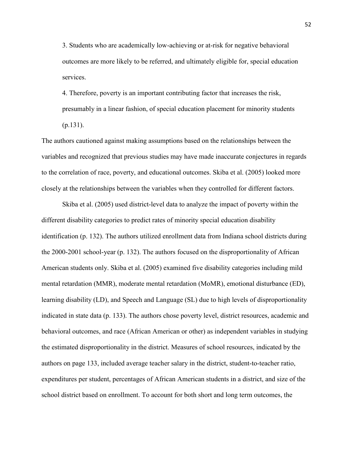3. Students who are academically low-achieving or at-risk for negative behavioral outcomes are more likely to be referred, and ultimately eligible for, special education services.

4. Therefore, poverty is an important contributing factor that increases the risk, presumably in a linear fashion, of special education placement for minority students (p.131).

The authors cautioned against making assumptions based on the relationships between the variables and recognized that previous studies may have made inaccurate conjectures in regards to the correlation of race, poverty, and educational outcomes. Skiba et al. (2005) looked more closely at the relationships between the variables when they controlled for different factors.

 Skiba et al. (2005) used district-level data to analyze the impact of poverty within the different disability categories to predict rates of minority special education disability identification (p. 132). The authors utilized enrollment data from Indiana school districts during the 2000-2001 school-year (p. 132). The authors focused on the disproportionality of African American students only. Skiba et al. (2005) examined five disability categories including mild mental retardation (MMR), moderate mental retardation (MoMR), emotional disturbance (ED), learning disability (LD), and Speech and Language (SL) due to high levels of disproportionality indicated in state data (p. 133). The authors chose poverty level, district resources, academic and behavioral outcomes, and race (African American or other) as independent variables in studying the estimated disproportionality in the district. Measures of school resources, indicated by the authors on page 133, included average teacher salary in the district, student-to-teacher ratio, expenditures per student, percentages of African American students in a district, and size of the school district based on enrollment. To account for both short and long term outcomes, the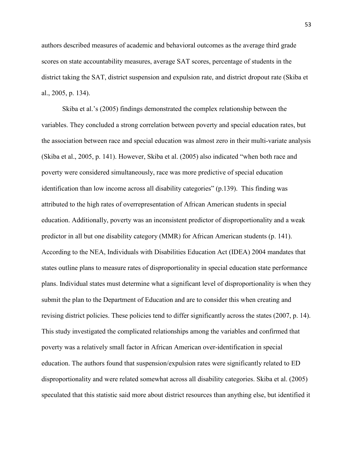authors described measures of academic and behavioral outcomes as the average third grade scores on state accountability measures, average SAT scores, percentage of students in the district taking the SAT, district suspension and expulsion rate, and district dropout rate (Skiba et al., 2005, p. 134).

 Skiba et al.'s (2005) findings demonstrated the complex relationship between the variables. They concluded a strong correlation between poverty and special education rates, but the association between race and special education was almost zero in their multi-variate analysis (Skiba et al., 2005, p. 141). However, Skiba et al. (2005) also indicated "when both race and poverty were considered simultaneously, race was more predictive of special education identification than low income across all disability categories" (p.139). This finding was attributed to the high rates of overrepresentation of African American students in special education. Additionally, poverty was an inconsistent predictor of disproportionality and a weak predictor in all but one disability category (MMR) for African American students (p. 141). According to the NEA, Individuals with Disabilities Education Act (IDEA) 2004 mandates that states outline plans to measure rates of disproportionality in special education state performance plans. Individual states must determine what a significant level of disproportionality is when they submit the plan to the Department of Education and are to consider this when creating and revising district policies. These policies tend to differ significantly across the states (2007, p. 14). This study investigated the complicated relationships among the variables and confirmed that poverty was a relatively small factor in African American over-identification in special education. The authors found that suspension/expulsion rates were significantly related to ED disproportionality and were related somewhat across all disability categories. Skiba et al. (2005) speculated that this statistic said more about district resources than anything else, but identified it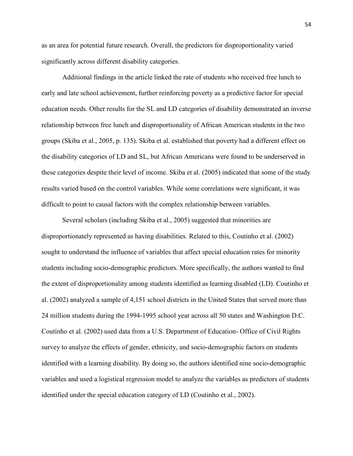as an area for potential future research. Overall, the predictors for disproportionality varied significantly across different disability categories.

Additional findings in the article linked the rate of students who received free lunch to early and late school achievement, further reinforcing poverty as a predictive factor for special education needs. Other results for the SL and LD categories of disability demonstrated an inverse relationship between free lunch and disproportionality of African American students in the two groups (Skiba et al., 2005, p. 135). Skiba et al. established that poverty had a different effect on the disability categories of LD and SL, but African Americans were found to be underserved in these categories despite their level of income. Skiba et al. (2005) indicated that some of the study results varied based on the control variables. While some correlations were significant, it was difficult to point to causal factors with the complex relationship between variables.

Several scholars (including Skiba et al., 2005) suggested that minorities are disproportionately represented as having disabilities. Related to this, Coutinho et al. (2002) sought to understand the influence of variables that affect special education rates for minority students including socio-demographic predictors. More specifically, the authors wanted to find the extent of disproportionality among students identified as learning disabled (LD). Coutinho et al. (2002) analyzed a sample of 4,151 school districts in the United States that served more than 24 million students during the 1994-1995 school year across all 50 states and Washington D.C. Coutinho et al. (2002) used data from a U.S. Department of Education- Office of Civil Rights survey to analyze the effects of gender, ethnicity, and socio-demographic factors on students identified with a learning disability. By doing so, the authors identified nine socio-demographic variables and used a logistical regression model to analyze the variables as predictors of students identified under the special education category of LD (Coutinho et al., 2002).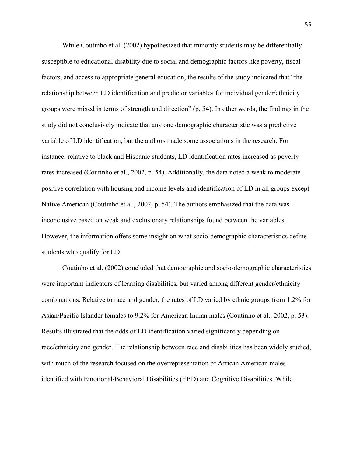While Coutinho et al. (2002) hypothesized that minority students may be differentially susceptible to educational disability due to social and demographic factors like poverty, fiscal factors, and access to appropriate general education, the results of the study indicated that "the relationship between LD identification and predictor variables for individual gender/ethnicity groups were mixed in terms of strength and direction" (p. 54). In other words, the findings in the study did not conclusively indicate that any one demographic characteristic was a predictive variable of LD identification, but the authors made some associations in the research. For instance, relative to black and Hispanic students, LD identification rates increased as poverty rates increased (Coutinho et al., 2002, p. 54). Additionally, the data noted a weak to moderate positive correlation with housing and income levels and identification of LD in all groups except Native American (Coutinho et al., 2002, p. 54). The authors emphasized that the data was inconclusive based on weak and exclusionary relationships found between the variables. However, the information offers some insight on what socio-demographic characteristics define students who qualify for LD.

Coutinho et al. (2002) concluded that demographic and socio-demographic characteristics were important indicators of learning disabilities, but varied among different gender/ethnicity combinations. Relative to race and gender, the rates of LD varied by ethnic groups from 1.2% for Asian/Pacific Islander females to 9.2% for American Indian males (Coutinho et al., 2002, p. 53). Results illustrated that the odds of LD identification varied significantly depending on race/ethnicity and gender. The relationship between race and disabilities has been widely studied, with much of the research focused on the overrepresentation of African American males identified with Emotional/Behavioral Disabilities (EBD) and Cognitive Disabilities. While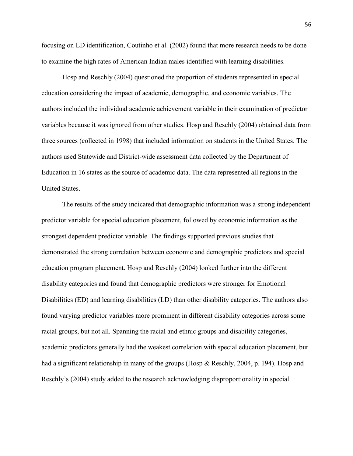focusing on LD identification, Coutinho et al. (2002) found that more research needs to be done to examine the high rates of American Indian males identified with learning disabilities.

Hosp and Reschly (2004) questioned the proportion of students represented in special education considering the impact of academic, demographic, and economic variables. The authors included the individual academic achievement variable in their examination of predictor variables because it was ignored from other studies. Hosp and Reschly (2004) obtained data from three sources (collected in 1998) that included information on students in the United States. The authors used Statewide and District-wide assessment data collected by the Department of Education in 16 states as the source of academic data. The data represented all regions in the United States.

The results of the study indicated that demographic information was a strong independent predictor variable for special education placement, followed by economic information as the strongest dependent predictor variable. The findings supported previous studies that demonstrated the strong correlation between economic and demographic predictors and special education program placement. Hosp and Reschly (2004) looked further into the different disability categories and found that demographic predictors were stronger for Emotional Disabilities (ED) and learning disabilities (LD) than other disability categories. The authors also found varying predictor variables more prominent in different disability categories across some racial groups, but not all. Spanning the racial and ethnic groups and disability categories, academic predictors generally had the weakest correlation with special education placement, but had a significant relationship in many of the groups (Hosp & Reschly, 2004, p. 194). Hosp and Reschly's (2004) study added to the research acknowledging disproportionality in special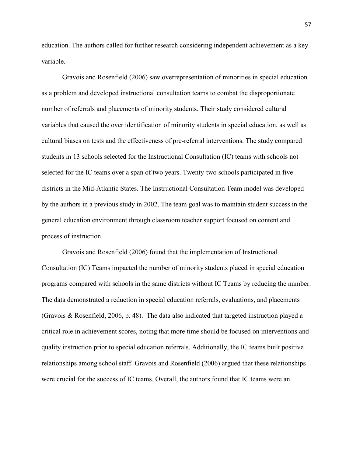education. The authors called for further research considering independent achievement as a key variable.

Gravois and Rosenfield (2006) saw overrepresentation of minorities in special education as a problem and developed instructional consultation teams to combat the disproportionate number of referrals and placements of minority students. Their study considered cultural variables that caused the over identification of minority students in special education, as well as cultural biases on tests and the effectiveness of pre-referral interventions. The study compared students in 13 schools selected for the Instructional Consultation (IC) teams with schools not selected for the IC teams over a span of two years. Twenty-two schools participated in five districts in the Mid-Atlantic States. The Instructional Consultation Team model was developed by the authors in a previous study in 2002. The team goal was to maintain student success in the general education environment through classroom teacher support focused on content and process of instruction.

Gravois and Rosenfield (2006) found that the implementation of Instructional Consultation (IC) Teams impacted the number of minority students placed in special education programs compared with schools in the same districts without IC Teams by reducing the number. The data demonstrated a reduction in special education referrals, evaluations, and placements (Gravois & Rosenfield, 2006, p. 48). The data also indicated that targeted instruction played a critical role in achievement scores, noting that more time should be focused on interventions and quality instruction prior to special education referrals. Additionally, the IC teams built positive relationships among school staff. Gravois and Rosenfield (2006) argued that these relationships were crucial for the success of IC teams. Overall, the authors found that IC teams were an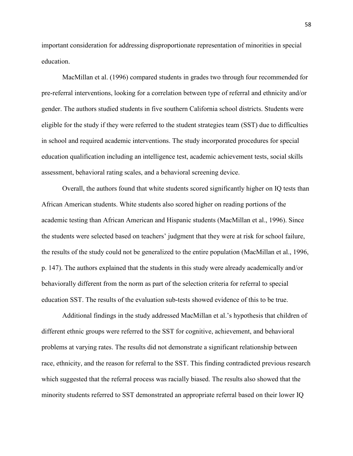important consideration for addressing disproportionate representation of minorities in special education.

MacMillan et al. (1996) compared students in grades two through four recommended for pre-referral interventions, looking for a correlation between type of referral and ethnicity and/or gender. The authors studied students in five southern California school districts. Students were eligible for the study if they were referred to the student strategies team (SST) due to difficulties in school and required academic interventions. The study incorporated procedures for special education qualification including an intelligence test, academic achievement tests, social skills assessment, behavioral rating scales, and a behavioral screening device.

Overall, the authors found that white students scored significantly higher on IQ tests than African American students. White students also scored higher on reading portions of the academic testing than African American and Hispanic students (MacMillan et al., 1996). Since the students were selected based on teachers' judgment that they were at risk for school failure, the results of the study could not be generalized to the entire population (MacMillan et al., 1996, p. 147). The authors explained that the students in this study were already academically and/or behaviorally different from the norm as part of the selection criteria for referral to special education SST. The results of the evaluation sub-tests showed evidence of this to be true.

Additional findings in the study addressed MacMillan et al.'s hypothesis that children of different ethnic groups were referred to the SST for cognitive, achievement, and behavioral problems at varying rates. The results did not demonstrate a significant relationship between race, ethnicity, and the reason for referral to the SST. This finding contradicted previous research which suggested that the referral process was racially biased. The results also showed that the minority students referred to SST demonstrated an appropriate referral based on their lower IQ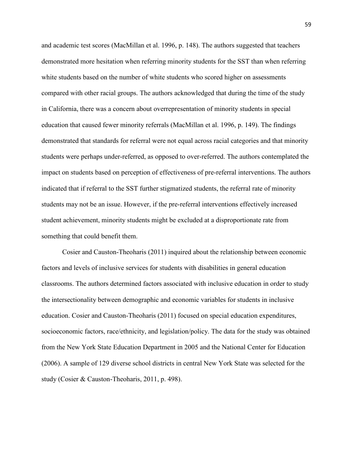and academic test scores (MacMillan et al. 1996, p. 148). The authors suggested that teachers demonstrated more hesitation when referring minority students for the SST than when referring white students based on the number of white students who scored higher on assessments compared with other racial groups. The authors acknowledged that during the time of the study in California, there was a concern about overrepresentation of minority students in special education that caused fewer minority referrals (MacMillan et al. 1996, p. 149). The findings demonstrated that standards for referral were not equal across racial categories and that minority students were perhaps under-referred, as opposed to over-referred. The authors contemplated the impact on students based on perception of effectiveness of pre-referral interventions. The authors indicated that if referral to the SST further stigmatized students, the referral rate of minority students may not be an issue. However, if the pre-referral interventions effectively increased student achievement, minority students might be excluded at a disproportionate rate from something that could benefit them.

Cosier and Causton-Theoharis (2011) inquired about the relationship between economic factors and levels of inclusive services for students with disabilities in general education classrooms. The authors determined factors associated with inclusive education in order to study the intersectionality between demographic and economic variables for students in inclusive education. Cosier and Causton-Theoharis (2011) focused on special education expenditures, socioeconomic factors, race/ethnicity, and legislation/policy. The data for the study was obtained from the New York State Education Department in 2005 and the National Center for Education (2006). A sample of 129 diverse school districts in central New York State was selected for the study (Cosier & Causton-Theoharis, 2011, p. 498).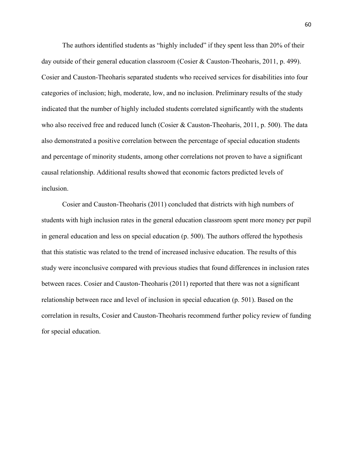The authors identified students as "highly included" if they spent less than 20% of their day outside of their general education classroom (Cosier & Causton-Theoharis, 2011, p. 499). Cosier and Causton-Theoharis separated students who received services for disabilities into four categories of inclusion; high, moderate, low, and no inclusion. Preliminary results of the study indicated that the number of highly included students correlated significantly with the students who also received free and reduced lunch (Cosier & Causton-Theoharis, 2011, p. 500). The data also demonstrated a positive correlation between the percentage of special education students and percentage of minority students, among other correlations not proven to have a significant causal relationship. Additional results showed that economic factors predicted levels of inclusion.

Cosier and Causton-Theoharis (2011) concluded that districts with high numbers of students with high inclusion rates in the general education classroom spent more money per pupil in general education and less on special education (p. 500). The authors offered the hypothesis that this statistic was related to the trend of increased inclusive education. The results of this study were inconclusive compared with previous studies that found differences in inclusion rates between races. Cosier and Causton-Theoharis (2011) reported that there was not a significant relationship between race and level of inclusion in special education (p. 501). Based on the correlation in results, Cosier and Causton-Theoharis recommend further policy review of funding for special education.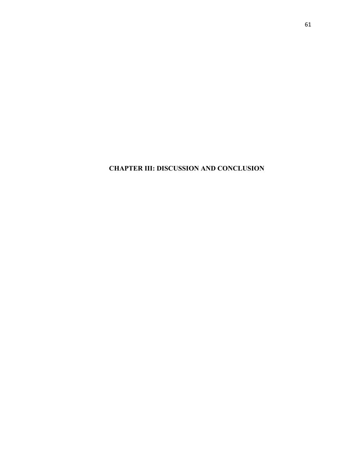**CHAPTER III: DISCUSSION AND CONCLUSION**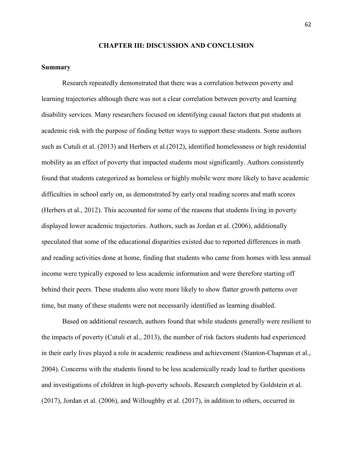#### **CHAPTER III: DISCUSSION AND CONCLUSION**

#### **Summary**

Research repeatedly demonstrated that there was a correlation between poverty and learning trajectories although there was not a clear correlation between poverty and learning disability services. Many researchers focused on identifying causal factors that put students at academic risk with the purpose of finding better ways to support these students. Some authors such as Cutuli et al. (2013) and Herbers et al.(2012), identified homelessness or high residential mobility as an effect of poverty that impacted students most significantly. Authors consistently found that students categorized as homeless or highly mobile were more likely to have academic difficulties in school early on, as demonstrated by early oral reading scores and math scores (Herbers et al., 2012). This accounted for some of the reasons that students living in poverty displayed lower academic trajectories. Authors, such as Jordan et al. (2006), additionally speculated that some of the educational disparities existed due to reported differences in math and reading activities done at home, finding that students who came from homes with less annual income were typically exposed to less academic information and were therefore starting off behind their peers. These students also were more likely to show flatter growth patterns over time, but many of these students were not necessarily identified as learning disabled.

Based on additional research, authors found that while students generally were resilient to the impacts of poverty (Cutuli et al., 2013), the number of risk factors students had experienced in their early lives played a role in academic readiness and achievement (Stanton-Chapman et al., 2004). Concerns with the students found to be less academically ready lead to further questions and investigations of children in high-poverty schools. Research completed by Goldstein et al. (2017), Jordan et al. (2006), and Willoughby et al. (2017), in addition to others, occurred in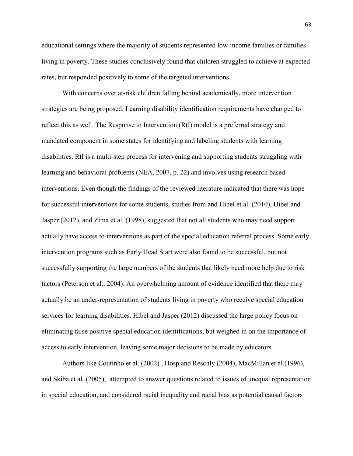educational settings where the majority of students represented low-income families or families living in poverty. These studies conclusively found that children struggled to achieve at expected rates, but responded positively to some of the targeted interventions.

With concerns over at-risk children falling behind academically, more intervention strategies are being proposed. Learning disability identification requirements have changed to reflect this as well. The Response to Intervention (RtI) model is a preferred strategy and mandated component in some states for identifying and labeling students with learning disabilities. RtI is a multi-step process for intervening and supporting students struggling with learning and behavioral problems (NEA, 2007, p. 22) and involves using research based interventions. Even though the findings of the reviewed literature indicated that there was hope for successful interventions for some students, studies from and Hibel et al. (2010), Hibel and Jasper (2012), and Zima et al. (1998), suggested that not all students who may need support actually have access to interventions as part of the special education referral process. Some early intervention programs such as Early Head Start were also found to be successful, but not successfully supporting the large numbers of the students that likely need more help due to risk factors (Peterson et al., 2004). An overwhelming amount of evidence identified that there may actually be an under-representation of students living in poverty who receive special education services for learning disabilities. Hibel and Jasper (2012) discussed the large policy focus on eliminating false positive special education identifications, but weighed in on the importance of access to early intervention, leaving some major decisions to be made by educators.

Authors like Coutinho et al. (2002) , Hosp and Reschly (2004), MacMillan et al.(1996), and Skiba et al. (2005), attempted to answer questions related to issues of unequal representation in special education, and considered racial inequality and racial bias as potential causal factors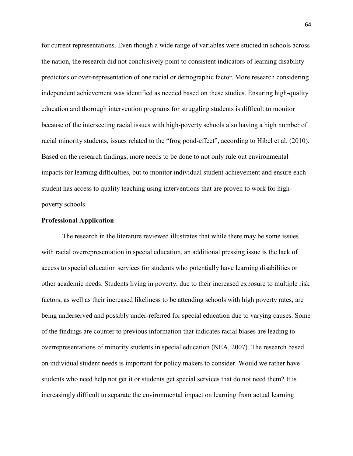for current representations. Even though a wide range of variables were studied in schools across the nation, the research did not conclusively point to consistent indicators of learning disability predictors or over-representation of one racial or demographic factor. More research considering independent achievement was identified as needed based on these studies. Ensuring high-quality education and thorough intervention programs for struggling students is difficult to monitor because of the intersecting racial issues with high-poverty schools also having a high number of racial minority students, issues related to the "frog pond-effect", according to Hibel et al. (2010). Based on the research findings, more needs to be done to not only rule out environmental impacts for learning difficulties, but to monitor individual student achievement and ensure each student has access to quality teaching using interventions that are proven to work for highpoverty schools.

## **Professional Application**

The research in the literature reviewed illustrates that while there may be some issues with racial overrepresentation in special education, an additional pressing issue is the lack of access to special education services for students who potentially have learning disabilities or other academic needs. Students living in poverty, due to their increased exposure to multiple risk factors, as well as their increased likeliness to be attending schools with high poverty rates, are being underserved and possibly under-referred for special education due to varying causes. Some of the findings are counter to previous information that indicates racial biases are leading to overrepresentations of minority students in special education (NEA, 2007). The research based on individual student needs is important for policy makers to consider. Would we rather have students who need help not get it or students get special services that do not need them? It is increasingly difficult to separate the environmental impact on learning from actual learning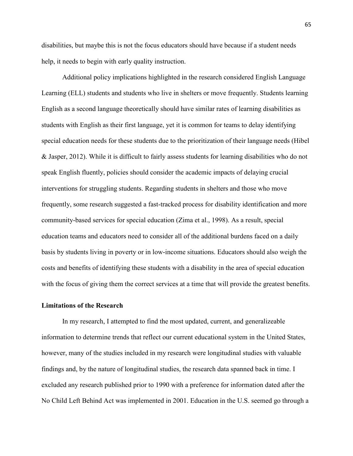disabilities, but maybe this is not the focus educators should have because if a student needs help, it needs to begin with early quality instruction.

Additional policy implications highlighted in the research considered English Language Learning (ELL) students and students who live in shelters or move frequently. Students learning English as a second language theoretically should have similar rates of learning disabilities as students with English as their first language, yet it is common for teams to delay identifying special education needs for these students due to the prioritization of their language needs (Hibel & Jasper, 2012). While it is difficult to fairly assess students for learning disabilities who do not speak English fluently, policies should consider the academic impacts of delaying crucial interventions for struggling students. Regarding students in shelters and those who move frequently, some research suggested a fast-tracked process for disability identification and more community-based services for special education (Zima et al., 1998). As a result, special education teams and educators need to consider all of the additional burdens faced on a daily basis by students living in poverty or in low-income situations. Educators should also weigh the costs and benefits of identifying these students with a disability in the area of special education with the focus of giving them the correct services at a time that will provide the greatest benefits.

# **Limitations of the Research**

In my research, I attempted to find the most updated, current, and generalizeable information to determine trends that reflect our current educational system in the United States, however, many of the studies included in my research were longitudinal studies with valuable findings and, by the nature of longitudinal studies, the research data spanned back in time. I excluded any research published prior to 1990 with a preference for information dated after the No Child Left Behind Act was implemented in 2001. Education in the U.S. seemed go through a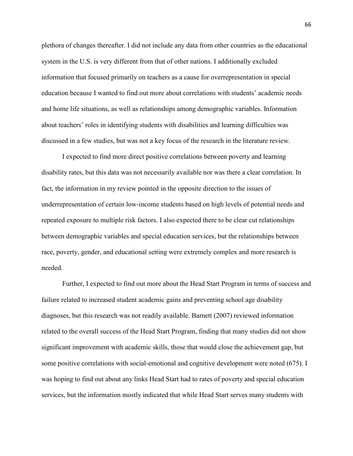plethora of changes thereafter. I did not include any data from other countries as the educational system in the U.S. is very different from that of other nations. I additionally excluded information that focused primarily on teachers as a cause for overrepresentation in special education because I wanted to find out more about correlations with students' academic needs and home life situations, as well as relationships among demographic variables. Information about teachers' roles in identifying students with disabilities and learning difficulties was discussed in a few studies, but was not a key focus of the research in the literature review.

I expected to find more direct positive correlations between poverty and learning disability rates, but this data was not necessarily available nor was there a clear correlation. In fact, the information in my review pointed in the opposite direction to the issues of underrepresentation of certain low-income students based on high levels of potential needs and repeated exposure to multiple risk factors. I also expected there to be clear cut relationships between demographic variables and special education services, but the relationships between race, poverty, gender, and educational setting were extremely complex and more research is needed.

Further, I expected to find out more about the Head Start Program in terms of success and failure related to increased student academic gains and preventing school age disability diagnoses, but this research was not readily available. Barnett (2007) reviewed information related to the overall success of the Head Start Program, finding that many studies did not show significant improvement with academic skills, those that would close the achievement gap, but some positive correlations with social-emotional and cognitive development were noted (675). I was hoping to find out about any links Head Start had to rates of poverty and special education services, but the information mostly indicated that while Head Start serves many students with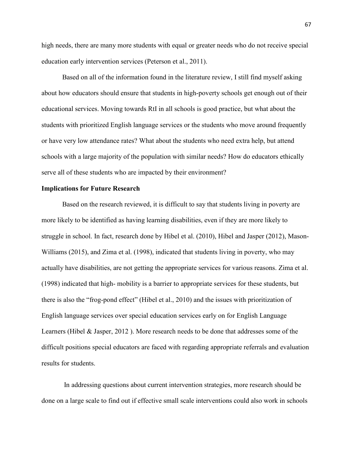high needs, there are many more students with equal or greater needs who do not receive special education early intervention services (Peterson et al., 2011).

Based on all of the information found in the literature review, I still find myself asking about how educators should ensure that students in high-poverty schools get enough out of their educational services. Moving towards RtI in all schools is good practice, but what about the students with prioritized English language services or the students who move around frequently or have very low attendance rates? What about the students who need extra help, but attend schools with a large majority of the population with similar needs? How do educators ethically serve all of these students who are impacted by their environment?

## **Implications for Future Research**

Based on the research reviewed, it is difficult to say that students living in poverty are more likely to be identified as having learning disabilities, even if they are more likely to struggle in school. In fact, research done by Hibel et al. (2010), Hibel and Jasper (2012), Mason-Williams (2015), and Zima et al. (1998), indicated that students living in poverty, who may actually have disabilities, are not getting the appropriate services for various reasons. Zima et al. (1998) indicated that high- mobility is a barrier to appropriate services for these students, but there is also the "frog-pond effect" (Hibel et al., 2010) and the issues with prioritization of English language services over special education services early on for English Language Learners (Hibel & Jasper, 2012 ). More research needs to be done that addresses some of the difficult positions special educators are faced with regarding appropriate referrals and evaluation results for students.

 In addressing questions about current intervention strategies, more research should be done on a large scale to find out if effective small scale interventions could also work in schools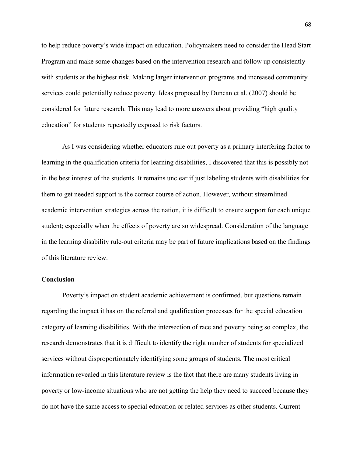to help reduce poverty's wide impact on education. Policymakers need to consider the Head Start Program and make some changes based on the intervention research and follow up consistently with students at the highest risk. Making larger intervention programs and increased community services could potentially reduce poverty. Ideas proposed by Duncan et al. (2007) should be considered for future research. This may lead to more answers about providing "high quality education" for students repeatedly exposed to risk factors.

As I was considering whether educators rule out poverty as a primary interfering factor to learning in the qualification criteria for learning disabilities, I discovered that this is possibly not in the best interest of the students. It remains unclear if just labeling students with disabilities for them to get needed support is the correct course of action. However, without streamlined academic intervention strategies across the nation, it is difficult to ensure support for each unique student; especially when the effects of poverty are so widespread. Consideration of the language in the learning disability rule-out criteria may be part of future implications based on the findings of this literature review.

## **Conclusion**

Poverty's impact on student academic achievement is confirmed, but questions remain regarding the impact it has on the referral and qualification processes for the special education category of learning disabilities. With the intersection of race and poverty being so complex, the research demonstrates that it is difficult to identify the right number of students for specialized services without disproportionately identifying some groups of students. The most critical information revealed in this literature review is the fact that there are many students living in poverty or low-income situations who are not getting the help they need to succeed because they do not have the same access to special education or related services as other students. Current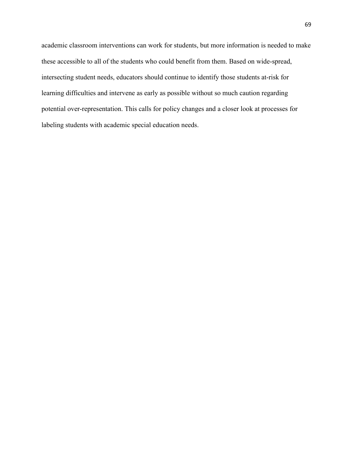academic classroom interventions can work for students, but more information is needed to make these accessible to all of the students who could benefit from them. Based on wide-spread, intersecting student needs, educators should continue to identify those students at-risk for learning difficulties and intervene as early as possible without so much caution regarding potential over-representation. This calls for policy changes and a closer look at processes for labeling students with academic special education needs.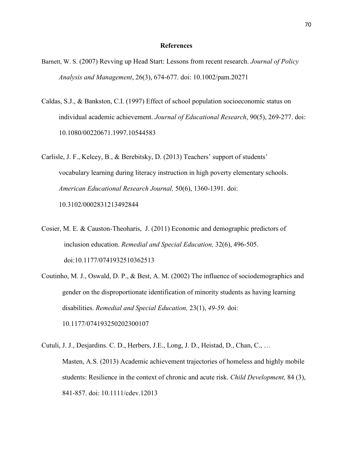#### **References**

- Barnett, W. S. (2007) Revving up Head Start: Lessons from recent research. *Journal of Policy Analysis and Management*, 26(3), 674-677. doi: 10.1002/pam.20271
- Caldas, S.J., & Bankston, C.I. (1997) Effect of school population socioeconomic status on individual academic achievement. *Journal of Educational Research*, 90(5), 269-277. doi: [10.1080/00220671.1997.10544583](https://doi.org/10.1080/00220671.1997.10544583)
- Carlisle, J. F., Kelcey, B., & Berebitsky, D. (2013) Teachers' support of students' vocabulary learning during literacy instruction in high poverty elementary schools. *American Educational Research Journal,* 50(6), 1360-1391. doi: 10.3102/0002831213492844
- Cosier, M. E. & Causton-Theoharis, J. (2011) Economic and demographic predictors of inclusion education. *Remedial and Special Education,* 32(6), 496-505. doi:10.1177/0741932510362513
- Coutinho, M. J., Oswald, D. P., & Best, A. M. (2002) The influence of sociodemographics and gender on the disproportionate identification of minority students as having learning disabilities. *Remedial and Special Education,* 23(1), *49-59.* doi: 10.1177/074193250202300107
- Cutuli, J. J., Desjardins. C. D., Herbers, J.E., Long, J. D., Heistad, D., Chan, C., … Masten, A.S. (2013) Academic achievement trajectories of homeless and highly mobile students: Resilience in the context of chronic and acute risk. *Child Development,* 84 (3), 841-857. doi: 10.1111/cdev.12013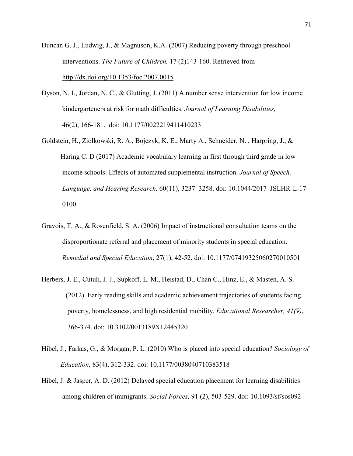Duncan G. J., Ludwig, J., & Magnuson, K.A. (2007) Reducing poverty through preschool interventions. *The Future of Children,* 17 (2)143-160. Retrieved from [http://dx.doi.org/10.1353/foc.2007.0015](http://psycnet.apa.org/doi/10.1353/foc.2007.0015)

- Dyson, N. I., Jordan, N. C., & Glutting, J. (2011) A number sense intervention for low income kindergarteners at risk for math difficulties. *Journal of Learning Disabilities,* 46(2), 166-181. doi: 10.1177/0022219411410233
- Goldstein, H., Ziolkowski, R. A., Bojczyk, K. E., Marty A., Schneider, N. , Harpring, J., & Haring C. D (2017) Academic vocabulary learning in first through third grade in low income schools: Effects of automated supplemental instruction. *Journal of Speech, Language, and Hearing Research,* 60(11), 3237–3258. doi: 10.1044/2017\_JSLHR-L-17- 0100
- Gravois, T. A., & Rosenfield, S. A. (2006) Impact of instructional consultation teams on the disproportionate referral and placement of minority students in special education. *Remedial and Special Education*, 27(1), 42-52. doi: 10.1177/07419325060270010501
- Herbers, J. E., Cutuli, J. J., Supkoff, L. M., Heistad, D., Chan C., Hinz, E., & Masten, A. S. (2012). Early reading skills and academic achievement trajectories of students facing poverty, homelessness, and high residential mobility. *Educational Researcher, 41(9)*, 366-374. doi: 10.3102/0013189X12445320
- Hibel, J., Farkas, G., & Morgan, P. L. (2010) Who is placed into special education? *Sociology of Education,* 83(4), 312-332. doi: 10.1177/0038040710383518
- Hibel, J. & Jasper, A. D. (2012) Delayed special education placement for learning disabilities among children of immigrants. *Social Forces,* 91 (2), 503-529. doi: 10.1093/sf/sos092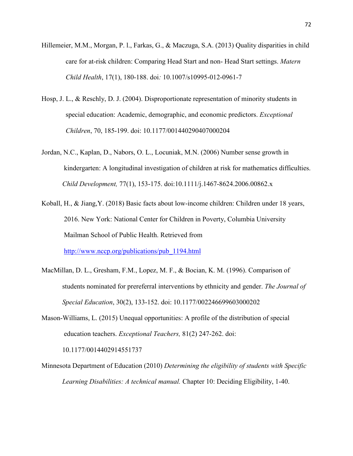- Hillemeier, M.M., Morgan, P. l., Farkas, G., & Maczuga, S.A. (2013) Quality disparities in child care for at-risk children: Comparing Head Start and non- Head Start settings. *Matern Child Health*, 17(1), 180-188. doi*:* 10.1007/s10995-012-0961-7
- Hosp, J. L., & Reschly, D. J. (2004). Disproportionate representation of minority students in special education: Academic, demographic, and economic predictors. *Exceptional Children*, 70, 185-199. doi: 10.1177/001440290407000204
- Jordan, N.C., Kaplan, D., Nabors, O. L., Locuniak, M.N. (2006) Number sense growth in kindergarten: A longitudinal investigation of children at risk for mathematics difficulties. *Child Development,* 77(1), 153-175. doi[:10.1111/j.1467-8624.2006.00862.x](https://doi.org/10.1111/j.1467-8624.2006.00862.x)
- Koball, H., & Jiang,Y. (2018) Basic facts about low-income children: Children under 18 years, 2016. New York: National Center for Children in Poverty, Columbia University Mailman School of Public Health. Retrieved from [http://www.nccp.org/publications/pub\\_1194.html](http://www.nccp.org/publications/pub_1194.html)
- MacMillan, D. L., Gresham, F.M., Lopez, M. F., & Bocian, K. M. (1996). Comparison of students nominated for prereferral interventions by ethnicity and gender. *The Journal of Special Education*, 30(2), 133-152. doi: 10.1177/002246699603000202
- Mason-Williams, L. (2015) Unequal opportunities: A profile of the distribution of special education teachers. *Exceptional Teachers,* 81(2) 247-262. doi: 10.1177/0014402914551737
- Minnesota Department of Education (2010) *Determining the eligibility of students with Specific Learning Disabilities: A technical manual.* Chapter 10: Deciding Eligibility, 1-40.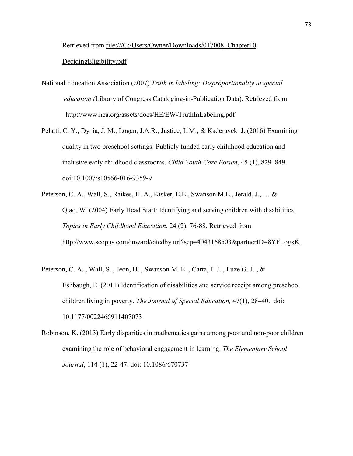Retrieved from [file:///C:/Users/Owner/Downloads/017008\\_Chapter10](#page-0-0)   [DecidingEligibility.pdf](#page-0-0)

- National Education Association (2007) *Truth in labeling: Disproportionality in special education (*Library of Congress Cataloging-in-Publication Data). Retrieved from http://www.nea.org/assets/docs/HE/EW-TruthInLabeling.pdf
- Pelatti, C. Y., Dynia, J. M., Logan, J.A.R., Justice, L.M., & Kaderavek J. (2016) Examining quality in two preschool settings: Publicly funded early childhood education and inclusive early childhood classrooms. *Child Youth Care Forum*, 45 (1), 829–849. doi:10.1007/s10566-016-9359-9
- Peterson, C. A., Wall, S., Raikes, H. A., Kisker, E.E., Swanson M.E., Jerald, J., … & Qiao, W. (2004) Early Head Start: Identifying and serving children with disabilities. *Topics in Early Childhood Education*, 24 (2), 76-88. Retrieved from <http://www.scopus.com/inward/citedby.url?scp=4043168503&partnerID=8YFLogxK>
- Peterson, C. A. , Wall, S. , Jeon, H. , Swanson M. E. , Carta, J. J. , Luze G. J. , & Eshbaugh, E. (2011) Identification of disabilities and service receipt among preschool children living in poverty. *The Journal of Special Education,* 47(1), 28–40. doi: 10.1177/0022466911407073
- Robinson, K. (2013) Early disparities in mathematics gains among poor and non-poor children examining the role of behavioral engagement in learning. *The Elementary School Journal*, 114 (1), 22-47. doi: 10.1086/670737